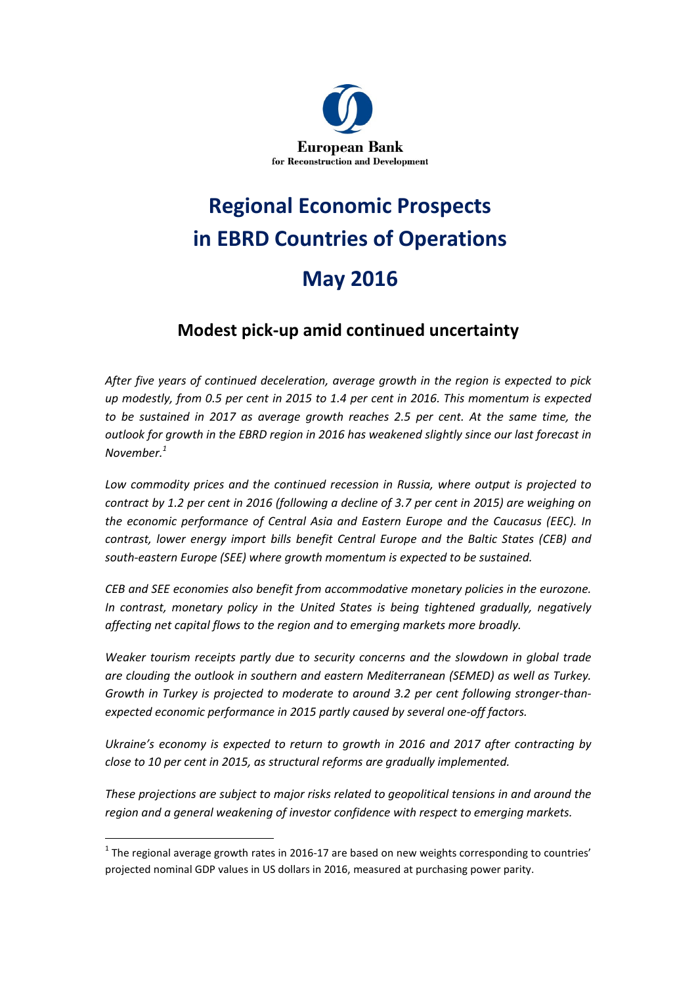

# Regional Economic Prospects in EBRD Countries of Operations May 2016

### Modest pick-up amid continued uncertainty

After five years of continued deceleration, average growth in the region is expected to pick up modestly, from 0.5 per cent in 2015 to 1.4 per cent in 2016. This momentum is expected to be sustained in 2017 as average growth reaches 2.5 per cent. At the same time, the outlook for growth in the EBRD region in 2016 has weakened slightly since our last forecast in November.<sup>1</sup>

Low commodity prices and the continued recession in Russia, where output is projected to contract by 1.2 per cent in 2016 (following a decline of 3.7 per cent in 2015) are weighing on the economic performance of Central Asia and Eastern Europe and the Caucasus (EEC). In contrast, lower energy import bills benefit Central Europe and the Baltic States (CEB) and south-eastern Europe (SEE) where growth momentum is expected to be sustained.

CEB and SEE economies also benefit from accommodative monetary policies in the eurozone. In contrast, monetary policy in the United States is being tightened gradually, negatively affecting net capital flows to the region and to emerging markets more broadly.

Weaker tourism receipts partly due to security concerns and the slowdown in global trade are clouding the outlook in southern and eastern Mediterranean (SEMED) as well as Turkey. Growth in Turkey is projected to moderate to around 3.2 per cent following stronger-thanexpected economic performance in 2015 partly caused by several one-off factors.

Ukraine's economy is expected to return to growth in 2016 and 2017 after contracting by close to 10 per cent in 2015, as structural reforms are gradually implemented.

These projections are subject to major risks related to geopolitical tensions in and around the region and a general weakening of investor confidence with respect to emerging markets.

l.

 $^1$  The regional average growth rates in 2016-17 are based on new weights corresponding to countries' projected nominal GDP values in US dollars in 2016, measured at purchasing power parity.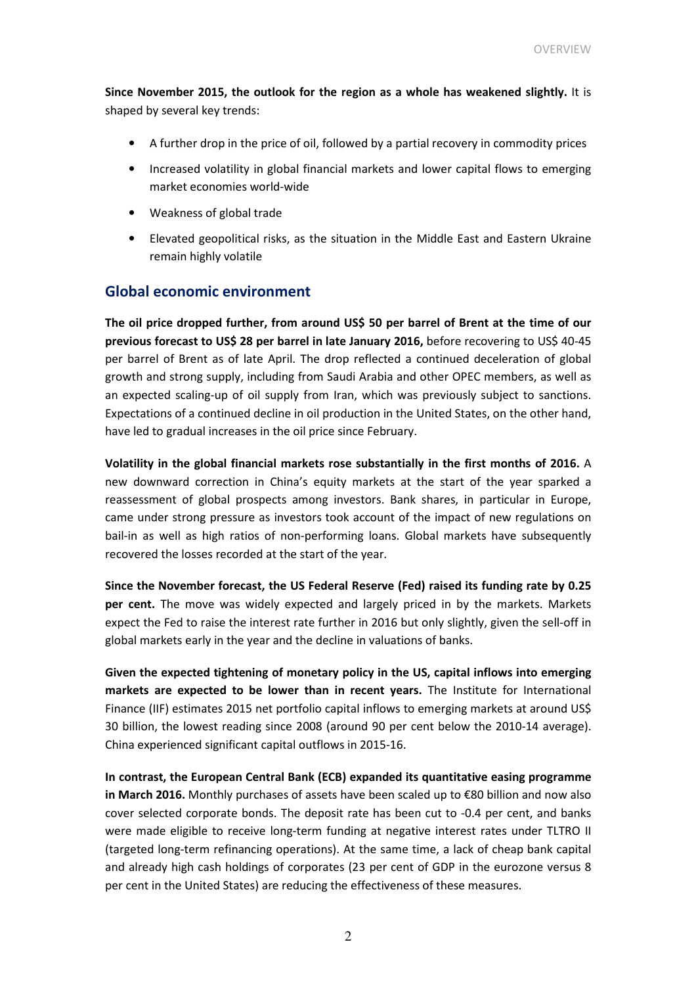Since November 2015, the outlook for the region as a whole has weakened slightly. It is shaped by several key trends:

- A further drop in the price of oil, followed by a partial recovery in commodity prices
- Increased volatility in global financial markets and lower capital flows to emerging market economies world-wide
- Weakness of global trade
- Elevated geopolitical risks, as the situation in the Middle East and Eastern Ukraine remain highly volatile

### Global economic environment

The oil price dropped further, from around US\$ 50 per barrel of Brent at the time of our previous forecast to US\$ 28 per barrel in late January 2016, before recovering to US\$ 40-45 per barrel of Brent as of late April. The drop reflected a continued deceleration of global growth and strong supply, including from Saudi Arabia and other OPEC members, as well as an expected scaling-up of oil supply from Iran, which was previously subject to sanctions. Expectations of a continued decline in oil production in the United States, on the other hand, have led to gradual increases in the oil price since February.

Volatility in the global financial markets rose substantially in the first months of 2016. A new downward correction in China's equity markets at the start of the year sparked a reassessment of global prospects among investors. Bank shares, in particular in Europe, came under strong pressure as investors took account of the impact of new regulations on bail-in as well as high ratios of non-performing loans. Global markets have subsequently recovered the losses recorded at the start of the year.

Since the November forecast, the US Federal Reserve (Fed) raised its funding rate by 0.25 per cent. The move was widely expected and largely priced in by the markets. Markets expect the Fed to raise the interest rate further in 2016 but only slightly, given the sell-off in global markets early in the year and the decline in valuations of banks.

Given the expected tightening of monetary policy in the US, capital inflows into emerging markets are expected to be lower than in recent years. The Institute for International Finance (IIF) estimates 2015 net portfolio capital inflows to emerging markets at around US\$ 30 billion, the lowest reading since 2008 (around 90 per cent below the 2010-14 average). China experienced significant capital outflows in 2015-16.

In contrast, the European Central Bank (ECB) expanded its quantitative easing programme in March 2016. Monthly purchases of assets have been scaled up to €80 billion and now also cover selected corporate bonds. The deposit rate has been cut to -0.4 per cent, and banks were made eligible to receive long-term funding at negative interest rates under TLTRO II (targeted long-term refinancing operations). At the same time, a lack of cheap bank capital and already high cash holdings of corporates (23 per cent of GDP in the eurozone versus 8 per cent in the United States) are reducing the effectiveness of these measures.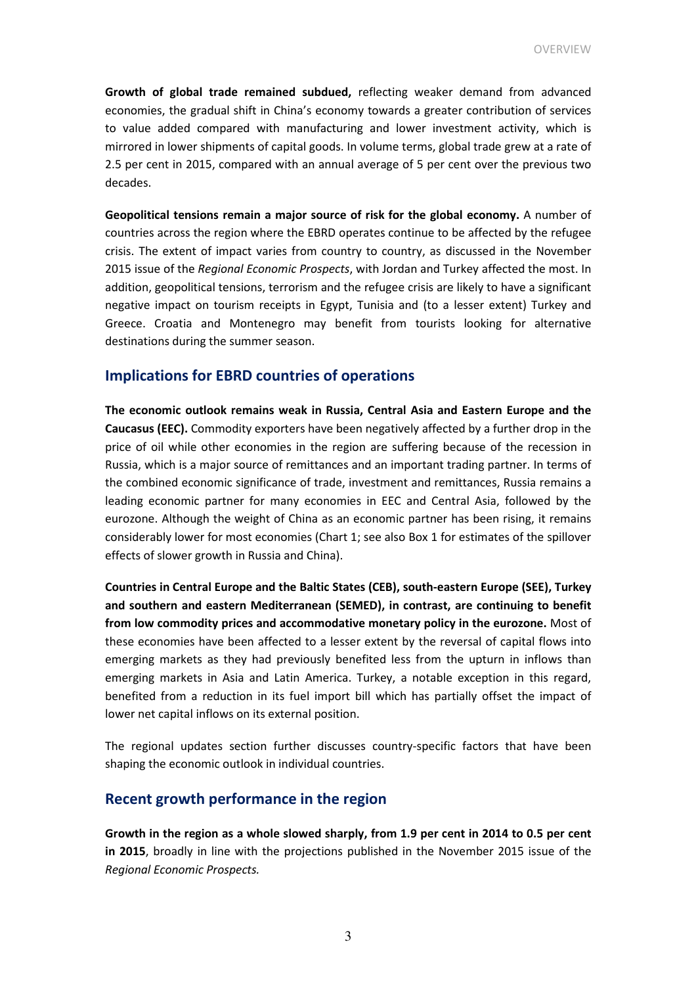Growth of global trade remained subdued, reflecting weaker demand from advanced economies, the gradual shift in China's economy towards a greater contribution of services to value added compared with manufacturing and lower investment activity, which is mirrored in lower shipments of capital goods. In volume terms, global trade grew at a rate of 2.5 per cent in 2015, compared with an annual average of 5 per cent over the previous two decades.

Geopolitical tensions remain a major source of risk for the global economy. A number of countries across the region where the EBRD operates continue to be affected by the refugee crisis. The extent of impact varies from country to country, as discussed in the November 2015 issue of the Regional Economic Prospects, with Jordan and Turkey affected the most. In addition, geopolitical tensions, terrorism and the refugee crisis are likely to have a significant negative impact on tourism receipts in Egypt, Tunisia and (to a lesser extent) Turkey and Greece. Croatia and Montenegro may benefit from tourists looking for alternative destinations during the summer season.

### Implications for EBRD countries of operations

The economic outlook remains weak in Russia, Central Asia and Eastern Europe and the Caucasus (EEC). Commodity exporters have been negatively affected by a further drop in the price of oil while other economies in the region are suffering because of the recession in Russia, which is a major source of remittances and an important trading partner. In terms of the combined economic significance of trade, investment and remittances, Russia remains a leading economic partner for many economies in EEC and Central Asia, followed by the eurozone. Although the weight of China as an economic partner has been rising, it remains considerably lower for most economies (Chart 1; see also Box 1 for estimates of the spillover effects of slower growth in Russia and China).

Countries in Central Europe and the Baltic States (CEB), south-eastern Europe (SEE), Turkey and southern and eastern Mediterranean (SEMED), in contrast, are continuing to benefit from low commodity prices and accommodative monetary policy in the eurozone. Most of these economies have been affected to a lesser extent by the reversal of capital flows into emerging markets as they had previously benefited less from the upturn in inflows than emerging markets in Asia and Latin America. Turkey, a notable exception in this regard, benefited from a reduction in its fuel import bill which has partially offset the impact of lower net capital inflows on its external position.

The regional updates section further discusses country-specific factors that have been shaping the economic outlook in individual countries.

### Recent growth performance in the region

Growth in the region as a whole slowed sharply, from 1.9 per cent in 2014 to 0.5 per cent in 2015, broadly in line with the projections published in the November 2015 issue of the Regional Economic Prospects.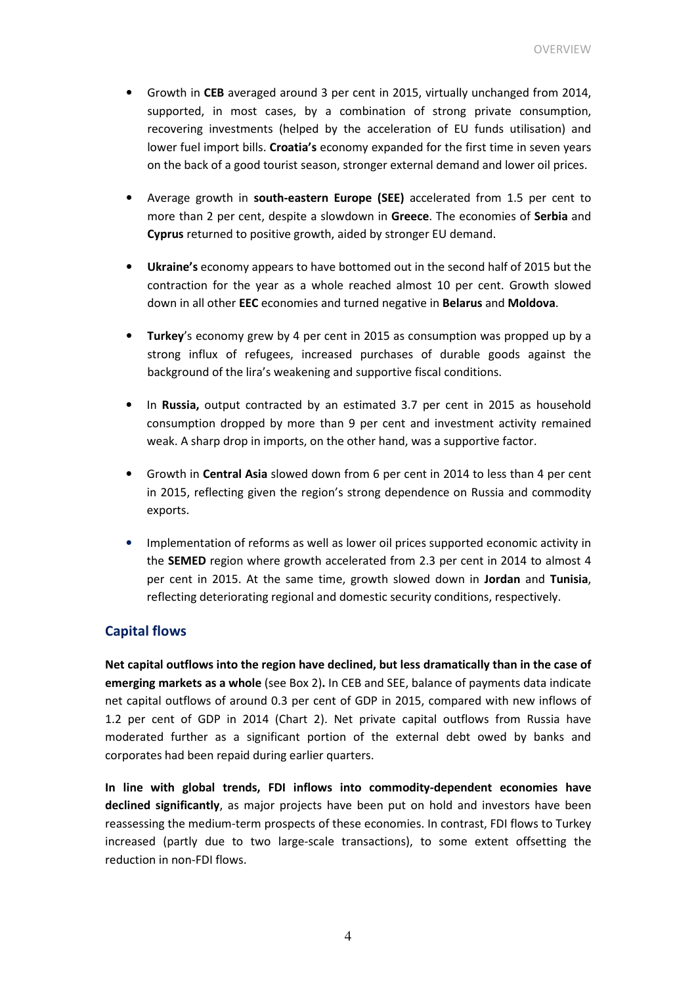- Growth in CEB averaged around 3 per cent in 2015, virtually unchanged from 2014, supported, in most cases, by a combination of strong private consumption, recovering investments (helped by the acceleration of EU funds utilisation) and lower fuel import bills. Croatia's economy expanded for the first time in seven years on the back of a good tourist season, stronger external demand and lower oil prices.
- Average growth in south-eastern Europe (SEE) accelerated from 1.5 per cent to more than 2 per cent, despite a slowdown in Greece. The economies of Serbia and Cyprus returned to positive growth, aided by stronger EU demand.
- Ukraine's economy appears to have bottomed out in the second half of 2015 but the contraction for the year as a whole reached almost 10 per cent. Growth slowed down in all other EEC economies and turned negative in Belarus and Moldova.
- Turkey's economy grew by 4 per cent in 2015 as consumption was propped up by a strong influx of refugees, increased purchases of durable goods against the background of the lira's weakening and supportive fiscal conditions.
- In Russia, output contracted by an estimated 3.7 per cent in 2015 as household consumption dropped by more than 9 per cent and investment activity remained weak. A sharp drop in imports, on the other hand, was a supportive factor.
- Growth in Central Asia slowed down from 6 per cent in 2014 to less than 4 per cent in 2015, reflecting given the region's strong dependence on Russia and commodity exports.
- Implementation of reforms as well as lower oil prices supported economic activity in the SEMED region where growth accelerated from 2.3 per cent in 2014 to almost 4 per cent in 2015. At the same time, growth slowed down in Jordan and Tunisia, reflecting deteriorating regional and domestic security conditions, respectively.

### Capital flows

Net capital outflows into the region have declined, but less dramatically than in the case of emerging markets as a whole (see Box 2). In CEB and SEE, balance of payments data indicate net capital outflows of around 0.3 per cent of GDP in 2015, compared with new inflows of 1.2 per cent of GDP in 2014 (Chart 2). Net private capital outflows from Russia have moderated further as a significant portion of the external debt owed by banks and corporates had been repaid during earlier quarters.

In line with global trends, FDI inflows into commodity-dependent economies have declined significantly, as major projects have been put on hold and investors have been reassessing the medium-term prospects of these economies. In contrast, FDI flows to Turkey increased (partly due to two large-scale transactions), to some extent offsetting the reduction in non-FDI flows.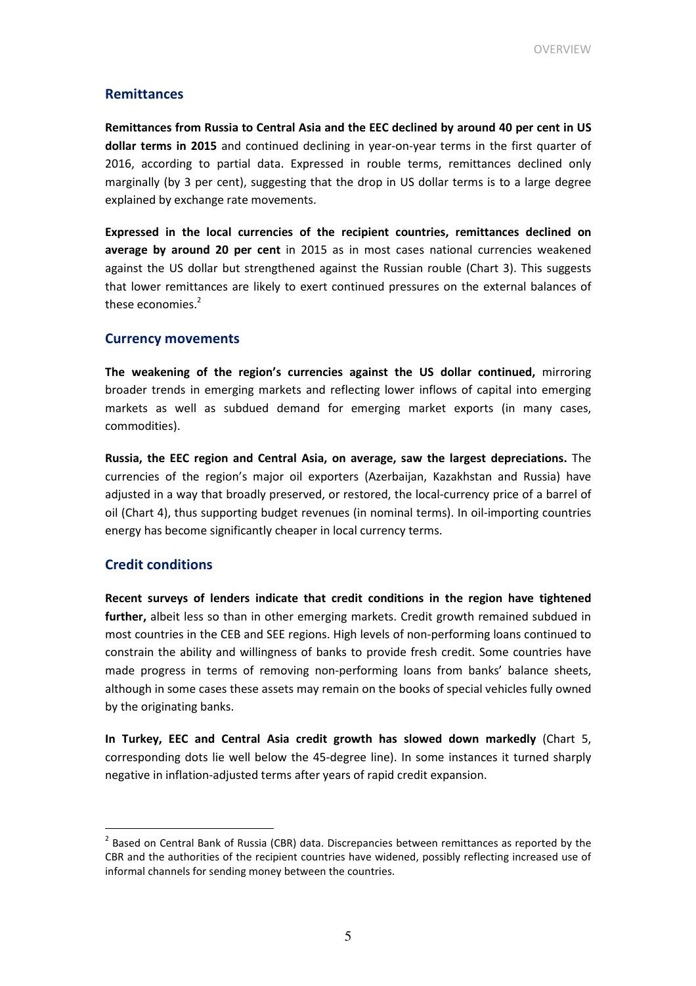### Remittances

Remittances from Russia to Central Asia and the EEC declined by around 40 per cent in US dollar terms in 2015 and continued declining in year-on-year terms in the first quarter of 2016, according to partial data. Expressed in rouble terms, remittances declined only marginally (by 3 per cent), suggesting that the drop in US dollar terms is to a large degree explained by exchange rate movements.

Expressed in the local currencies of the recipient countries, remittances declined on average by around 20 per cent in 2015 as in most cases national currencies weakened against the US dollar but strengthened against the Russian rouble (Chart 3). This suggests that lower remittances are likely to exert continued pressures on the external balances of these economies.<sup>2</sup>

### Currency movements

The weakening of the region's currencies against the US dollar continued, mirroring broader trends in emerging markets and reflecting lower inflows of capital into emerging markets as well as subdued demand for emerging market exports (in many cases, commodities).

Russia, the EEC region and Central Asia, on average, saw the largest depreciations. The currencies of the region's major oil exporters (Azerbaijan, Kazakhstan and Russia) have adjusted in a way that broadly preserved, or restored, the local-currency price of a barrel of oil (Chart 4), thus supporting budget revenues (in nominal terms). In oil-importing countries energy has become significantly cheaper in local currency terms.

### Credit conditions

 $\overline{a}$ 

Recent surveys of lenders indicate that credit conditions in the region have tightened further, albeit less so than in other emerging markets. Credit growth remained subdued in most countries in the CEB and SEE regions. High levels of non-performing loans continued to constrain the ability and willingness of banks to provide fresh credit. Some countries have made progress in terms of removing non-performing loans from banks' balance sheets, although in some cases these assets may remain on the books of special vehicles fully owned by the originating banks.

In Turkey, EEC and Central Asia credit growth has slowed down markedly (Chart 5, corresponding dots lie well below the 45-degree line). In some instances it turned sharply negative in inflation-adjusted terms after years of rapid credit expansion.

 $2$  Based on Central Bank of Russia (CBR) data. Discrepancies between remittances as reported by the CBR and the authorities of the recipient countries have widened, possibly reflecting increased use of informal channels for sending money between the countries.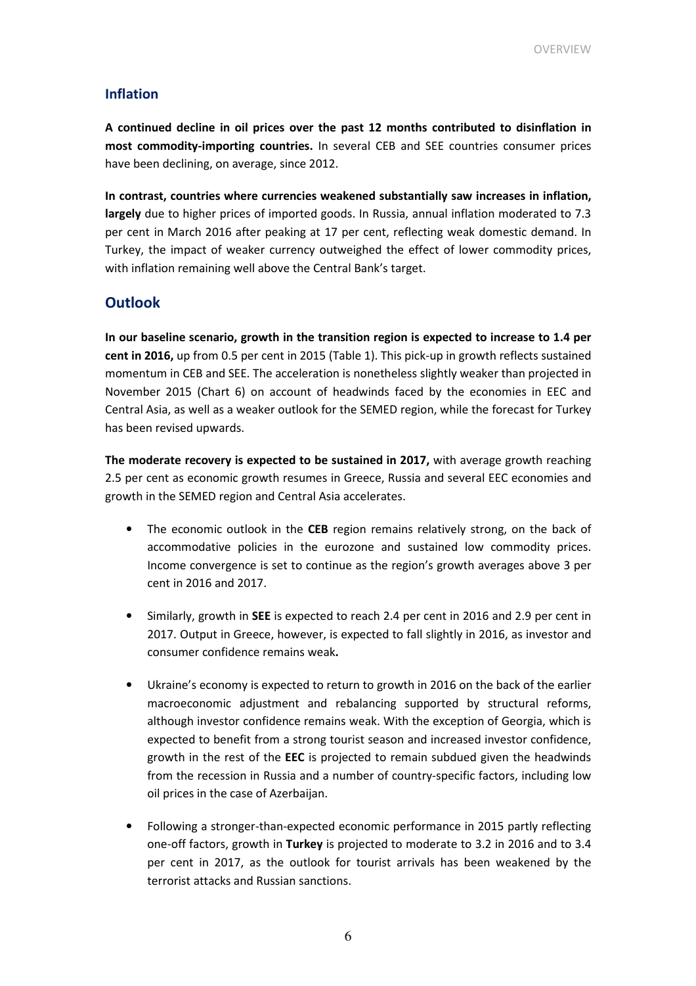### Inflation

A continued decline in oil prices over the past 12 months contributed to disinflation in most commodity-importing countries. In several CEB and SEE countries consumer prices have been declining, on average, since 2012.

In contrast, countries where currencies weakened substantially saw increases in inflation, largely due to higher prices of imported goods. In Russia, annual inflation moderated to 7.3 per cent in March 2016 after peaking at 17 per cent, reflecting weak domestic demand. In Turkey, the impact of weaker currency outweighed the effect of lower commodity prices, with inflation remaining well above the Central Bank's target.

### **Outlook**

In our baseline scenario, growth in the transition region is expected to increase to 1.4 per cent in 2016, up from 0.5 per cent in 2015 (Table 1). This pick-up in growth reflects sustained momentum in CEB and SEE. The acceleration is nonetheless slightly weaker than projected in November 2015 (Chart 6) on account of headwinds faced by the economies in EEC and Central Asia, as well as a weaker outlook for the SEMED region, while the forecast for Turkey has been revised upwards.

The moderate recovery is expected to be sustained in 2017, with average growth reaching 2.5 per cent as economic growth resumes in Greece, Russia and several EEC economies and growth in the SEMED region and Central Asia accelerates.

- The economic outlook in the CEB region remains relatively strong, on the back of accommodative policies in the eurozone and sustained low commodity prices. Income convergence is set to continue as the region's growth averages above 3 per cent in 2016 and 2017.
- Similarly, growth in SEE is expected to reach 2.4 per cent in 2016 and 2.9 per cent in 2017. Output in Greece, however, is expected to fall slightly in 2016, as investor and consumer confidence remains weak.
- Ukraine's economy is expected to return to growth in 2016 on the back of the earlier macroeconomic adjustment and rebalancing supported by structural reforms, although investor confidence remains weak. With the exception of Georgia, which is expected to benefit from a strong tourist season and increased investor confidence, growth in the rest of the EEC is projected to remain subdued given the headwinds from the recession in Russia and a number of country-specific factors, including low oil prices in the case of Azerbaijan.
- Following a stronger-than-expected economic performance in 2015 partly reflecting one-off factors, growth in Turkey is projected to moderate to 3.2 in 2016 and to 3.4 per cent in 2017, as the outlook for tourist arrivals has been weakened by the terrorist attacks and Russian sanctions.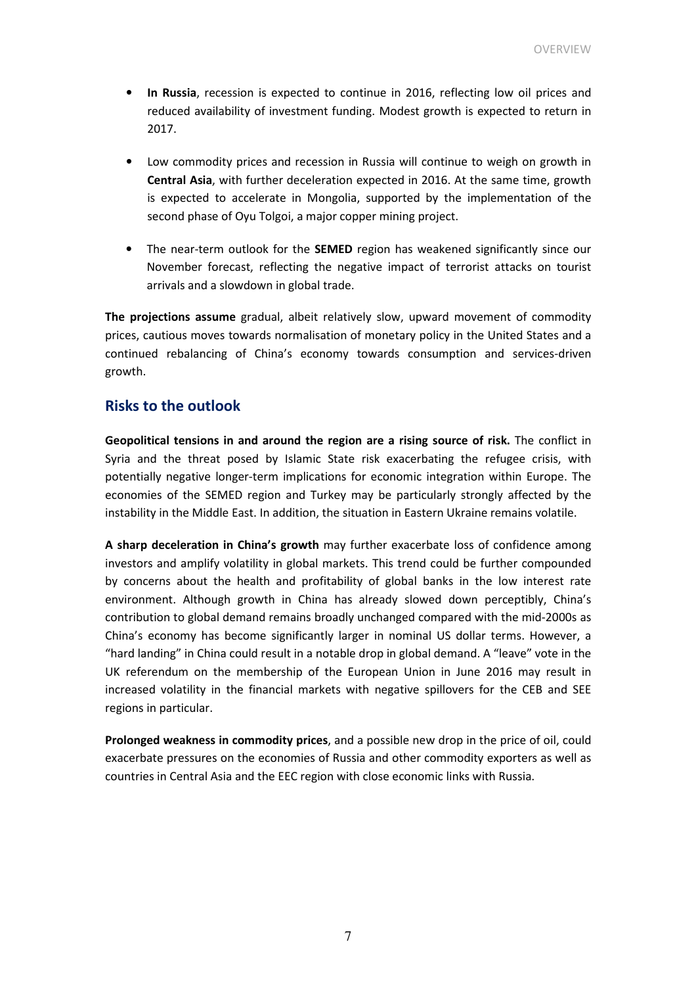- In Russia, recession is expected to continue in 2016, reflecting low oil prices and reduced availability of investment funding. Modest growth is expected to return in 2017.
- Low commodity prices and recession in Russia will continue to weigh on growth in Central Asia, with further deceleration expected in 2016. At the same time, growth is expected to accelerate in Mongolia, supported by the implementation of the second phase of Oyu Tolgoi, a major copper mining project.
- The near-term outlook for the **SEMED** region has weakened significantly since our November forecast, reflecting the negative impact of terrorist attacks on tourist arrivals and a slowdown in global trade.

The projections assume gradual, albeit relatively slow, upward movement of commodity prices, cautious moves towards normalisation of monetary policy in the United States and a continued rebalancing of China's economy towards consumption and services-driven growth.

### Risks to the outlook

Geopolitical tensions in and around the region are a rising source of risk. The conflict in Syria and the threat posed by Islamic State risk exacerbating the refugee crisis, with potentially negative longer-term implications for economic integration within Europe. The economies of the SEMED region and Turkey may be particularly strongly affected by the instability in the Middle East. In addition, the situation in Eastern Ukraine remains volatile.

A sharp deceleration in China's growth may further exacerbate loss of confidence among investors and amplify volatility in global markets. This trend could be further compounded by concerns about the health and profitability of global banks in the low interest rate environment. Although growth in China has already slowed down perceptibly, China's contribution to global demand remains broadly unchanged compared with the mid-2000s as China's economy has become significantly larger in nominal US dollar terms. However, a "hard landing" in China could result in a notable drop in global demand. A "leave" vote in the UK referendum on the membership of the European Union in June 2016 may result in increased volatility in the financial markets with negative spillovers for the CEB and SEE regions in particular.

Prolonged weakness in commodity prices, and a possible new drop in the price of oil, could exacerbate pressures on the economies of Russia and other commodity exporters as well as countries in Central Asia and the EEC region with close economic links with Russia.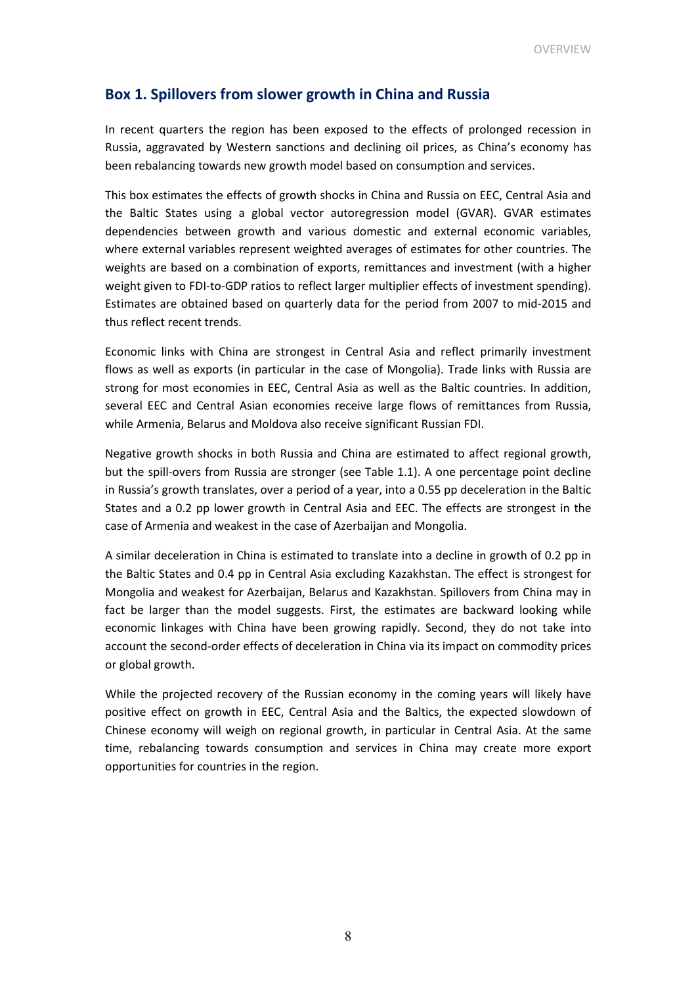### Box 1. Spillovers from slower growth in China and Russia

In recent quarters the region has been exposed to the effects of prolonged recession in Russia, aggravated by Western sanctions and declining oil prices, as China's economy has been rebalancing towards new growth model based on consumption and services.

This box estimates the effects of growth shocks in China and Russia on EEC, Central Asia and the Baltic States using a global vector autoregression model (GVAR). GVAR estimates dependencies between growth and various domestic and external economic variables, where external variables represent weighted averages of estimates for other countries. The weights are based on a combination of exports, remittances and investment (with a higher weight given to FDI-to-GDP ratios to reflect larger multiplier effects of investment spending). Estimates are obtained based on quarterly data for the period from 2007 to mid-2015 and thus reflect recent trends.

Economic links with China are strongest in Central Asia and reflect primarily investment flows as well as exports (in particular in the case of Mongolia). Trade links with Russia are strong for most economies in EEC, Central Asia as well as the Baltic countries. In addition, several EEC and Central Asian economies receive large flows of remittances from Russia, while Armenia, Belarus and Moldova also receive significant Russian FDI.

Negative growth shocks in both Russia and China are estimated to affect regional growth, but the spill-overs from Russia are stronger (see Table 1.1). A one percentage point decline in Russia's growth translates, over a period of a year, into a 0.55 pp deceleration in the Baltic States and a 0.2 pp lower growth in Central Asia and EEC. The effects are strongest in the case of Armenia and weakest in the case of Azerbaijan and Mongolia.

A similar deceleration in China is estimated to translate into a decline in growth of 0.2 pp in the Baltic States and 0.4 pp in Central Asia excluding Kazakhstan. The effect is strongest for Mongolia and weakest for Azerbaijan, Belarus and Kazakhstan. Spillovers from China may in fact be larger than the model suggests. First, the estimates are backward looking while economic linkages with China have been growing rapidly. Second, they do not take into account the second-order effects of deceleration in China via its impact on commodity prices or global growth.

While the projected recovery of the Russian economy in the coming years will likely have positive effect on growth in EEC, Central Asia and the Baltics, the expected slowdown of Chinese economy will weigh on regional growth, in particular in Central Asia. At the same time, rebalancing towards consumption and services in China may create more export opportunities for countries in the region.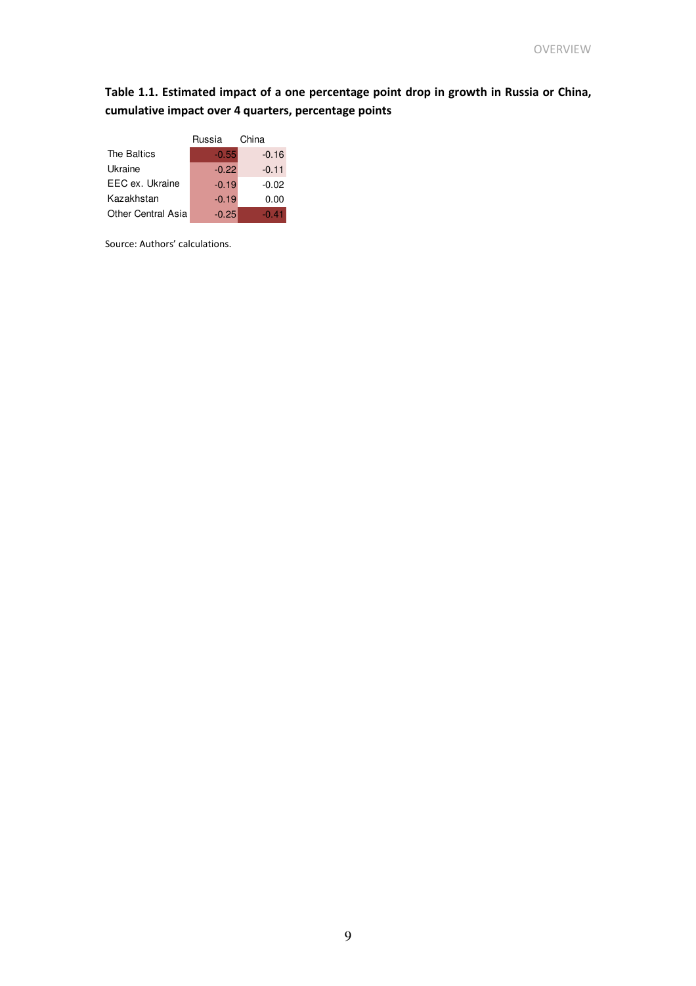### Table 1.1. Estimated impact of a one percentage point drop in growth in Russia or China, cumulative impact over 4 quarters, percentage points

|                           | Russia  | China   |  |  |
|---------------------------|---------|---------|--|--|
| The Baltics               | $-0.55$ | $-0.16$ |  |  |
| Ukraine                   | $-0.22$ | $-0.11$ |  |  |
| EEC ex. Ukraine           | $-0.19$ | $-0.02$ |  |  |
| Kazakhstan                | $-0.19$ | 0.00    |  |  |
| <b>Other Central Asia</b> | $-0.25$ | $-0.41$ |  |  |

Source: Authors' calculations.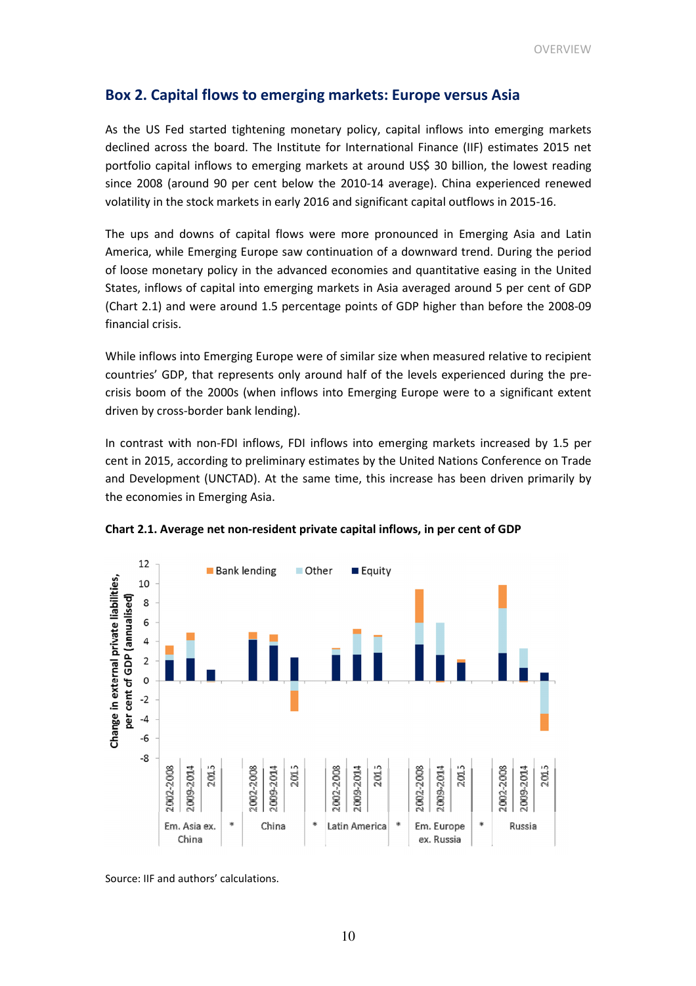### Box 2. Capital flows to emerging markets: Europe versus Asia

As the US Fed started tightening monetary policy, capital inflows into emerging markets declined across the board. The Institute for International Finance (IIF) estimates 2015 net portfolio capital inflows to emerging markets at around US\$ 30 billion, the lowest reading since 2008 (around 90 per cent below the 2010-14 average). China experienced renewed volatility in the stock markets in early 2016 and significant capital outflows in 2015-16.

The ups and downs of capital flows were more pronounced in Emerging Asia and Latin America, while Emerging Europe saw continuation of a downward trend. During the period of loose monetary policy in the advanced economies and quantitative easing in the United States, inflows of capital into emerging markets in Asia averaged around 5 per cent of GDP (Chart 2.1) and were around 1.5 percentage points of GDP higher than before the 2008-09 financial crisis.

While inflows into Emerging Europe were of similar size when measured relative to recipient countries' GDP, that represents only around half of the levels experienced during the precrisis boom of the 2000s (when inflows into Emerging Europe were to a significant extent driven by cross-border bank lending).

In contrast with non-FDI inflows, FDI inflows into emerging markets increased by 1.5 per cent in 2015, according to preliminary estimates by the United Nations Conference on Trade and Development (UNCTAD). At the same time, this increase has been driven primarily by the economies in Emerging Asia.



Chart 2.1. Average net non-resident private capital inflows, in per cent of GDP

Source: IIF and authors' calculations.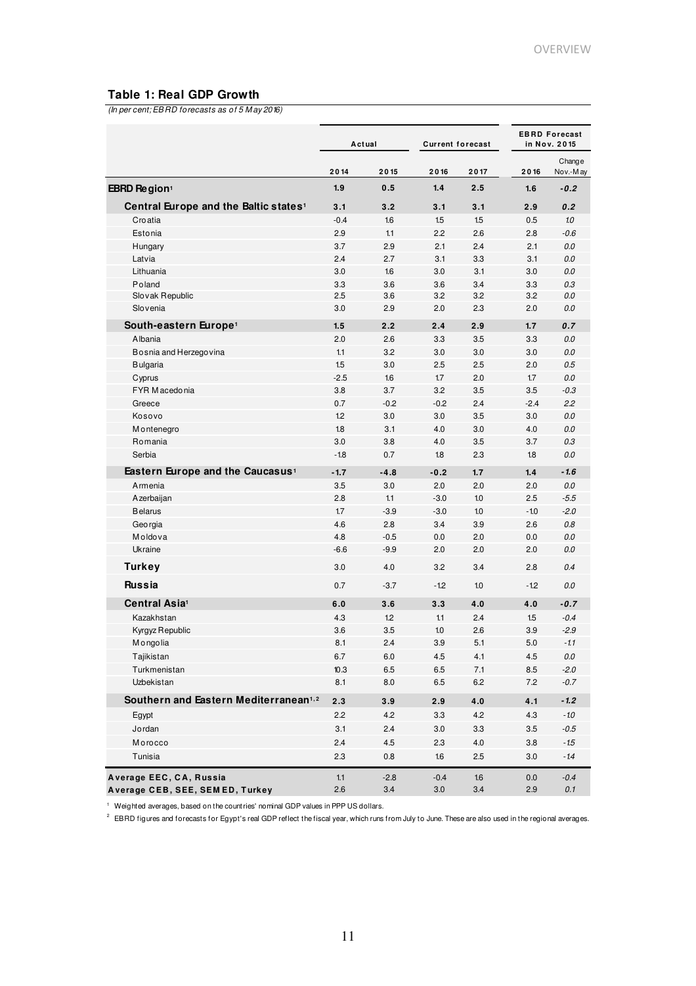### **Table 1: Real GDP Growth**

(In per cent; EBRD forecasts as of 5 M ay 2016)

|                                                   | Actual |         | <b>Current forecast</b> |      | <b>EBRD Forecast</b><br>in Nov. 2015 |                    |
|---------------------------------------------------|--------|---------|-------------------------|------|--------------------------------------|--------------------|
|                                                   | 2014   | 2015    | 2016                    | 2017 | 2016                                 | Change<br>Nov.-May |
| EBRD Region <sup>1</sup>                          | 1.9    | 0.5     | 1.4                     | 2.5  | 1.6                                  | $-0.2$             |
| Central Europe and the Baltic states <sup>1</sup> | 3.1    | 3.2     | 3.1                     | 3.1  | 2.9                                  | 0.2                |
| Croatia                                           | $-0.4$ | 1.6     | 1.5                     | 1.5  | 0.5                                  | 1.0                |
| Estonia                                           | 2.9    | 1.1     | 2.2                     | 2.6  | 2.8                                  | $-0.6$             |
| Hungary                                           | 3.7    | 2.9     | 2.1                     | 2.4  | 2.1                                  | 0.0                |
| Latvia                                            | 2.4    | 2.7     | 3.1                     | 3.3  | 3.1                                  | 0.0                |
| Lithuania                                         | 3.0    | 1.6     | 3.0                     | 3.1  | 3.0                                  | 0.0                |
| Poland                                            | 3.3    | 3.6     | 3.6                     | 3.4  | 3.3                                  | 0.3                |
| Slovak Republic                                   | 2.5    | 3.6     | 3.2                     | 3.2  | 3.2                                  | 0.0                |
| Slovenia                                          | 3.0    | 2.9     | 2.0                     | 2.3  | 2.0                                  | 0.0                |
| South-eastern Europe <sup>1</sup>                 | 1.5    | 2.2     | 2.4                     | 2.9  | 1.7                                  | 0.7                |
| Albania                                           | 2.0    | 2.6     | 3.3                     | 3.5  | 3.3                                  | 0.0                |
| Bosnia and Herzegovina                            | 1.1    | 3.2     | 3.0                     | 3.0  | 3.0                                  | 0.0                |
| <b>Bulgaria</b>                                   | 1.5    | 3.0     | 2.5                     | 2.5  | 2.0                                  | 0.5                |
| Cyprus                                            | $-2.5$ | 1.6     | 1.7                     | 2.0  | 1.7                                  | 0.0                |
| FYR M acedonia                                    | 3.8    | 3.7     | 3.2                     | 3.5  | 3.5                                  | $-0.3$             |
| Greece                                            | 0.7    | $-0.2$  | $-0.2$                  | 2.4  | $-2.4$                               | 2.2                |
| Kosovo                                            | 1.2    | 3.0     | 3.0                     | 3.5  | 3.0                                  | 0.0                |
| M ontenegro                                       | 1.8    | 3.1     | 4.0                     | 3.0  | 4.0                                  | 0.0                |
| Romania                                           | 3.0    | 3.8     | 4.0                     | 3.5  | 3.7                                  | 0.3                |
| Serbia                                            | $-1.8$ | 0.7     | 1.8                     | 2.3  | 18                                   | 0.0                |
|                                                   |        |         |                         |      |                                      |                    |
| Eastern Europe and the Caucasus <sup>1</sup>      | $-1.7$ | $-4.8$  | $-0.2$                  | 1.7  | 1.4                                  | $-1.6$             |
| Armenia                                           | 3.5    | 3.0     | 2.0                     | 2.0  | 2.0                                  | 0.0                |
| Azerbaijan                                        | 2.8    | 1.1     | $-3.0$                  | 1.0  | 2.5                                  | $-5.5$             |
| <b>Belarus</b>                                    | 1.7    | $-3.9$  | $-3.0$                  | 1.0  | $-1.0$                               | $-2.0$             |
| Georgia                                           | 4.6    | 2.8     | 3.4                     | 3.9  | 2.6                                  | 0.8                |
| Moldova                                           | 4.8    | $-0.5$  | 0.0                     | 2.0  | 0.0                                  | 0.0                |
| Ukraine                                           | $-6.6$ | $-9.9$  | 2.0                     | 2.0  | 2.0                                  | 0.0                |
| <b>Turkey</b>                                     | 3.0    | 4.0     | 3.2                     | 3.4  | 2.8                                  | 0.4                |
| <b>Russia</b>                                     | 0.7    | $-3.7$  | $-1.2$                  | 1.0  | $-1.2$                               | 0.0                |
| Central Asia <sup>1</sup>                         | 6.0    | 3.6     | 3.3                     | 4.0  | 4.0                                  | $-0.7$             |
| Kazakhstan                                        | 4.3    | 1.2     | 1.1                     | 2.4  | 1.5                                  | $-0.4$             |
| Kyrgyz Republic                                   | 3.6    | 3.5     | 1.0                     | 2.6  | 3.9                                  | $-2.9$             |
| Mongolia                                          | 8.1    | 2.4     | 3.9                     | 5.1  | 5.0                                  | $-1.1$             |
| Tajikistan                                        | 6.7    | $6.0\,$ | 4.5                     | 4.1  | $4.5\,$                              | 0.0                |
| Turkmenistan                                      | 10.3   | 6.5     | 6.5                     | 7.1  | 8.5                                  | $-2.0$             |
| Uzbekistan                                        | 8.1    | 8.0     | 6.5                     | 6.2  | 7.2                                  | $-0.7$             |
| Southern and Eastern Mediterranean <sup>1,2</sup> | 2.3    | 3.9     | 2.9                     | 4.0  | 4.1                                  | $-1.2$             |
| Egypt                                             | 2.2    | 4.2     | 3.3                     | 4.2  | 4.3                                  | $-1.0$             |
|                                                   |        |         |                         |      |                                      |                    |
| Jordan                                            | 3.1    | 2.4     | 3.0                     | 3.3  | $3.5\,$                              | $-0.5$             |
| Morocco                                           | 2.4    | 4.5     | 2.3                     | 4.0  | $3.8\,$                              | $-1.5$             |
| Tunisia                                           | 2.3    | 0.8     | 1.6                     | 2.5  | $3.0\,$                              | $-14$              |
| Average EEC, CA, Russia                           | 1.1    | $-2.8$  | $-0.4$                  | 1.6  | 0.0                                  | $-0.4$             |
| Average CEB, SEE, SEM ED, Turkey                  | 2.6    | $3.4\,$ | 3.0                     | 3.4  | 2.9                                  | 0.1                |

<sup>1</sup> Weighted averages, based on the countries' nominal GDP values in PPP US dollars.

 $^2$  EBRD figures and forecasts for Egypt's real GDP reflect the fiscal year, which runs from July to June. These are also used in the regional averages.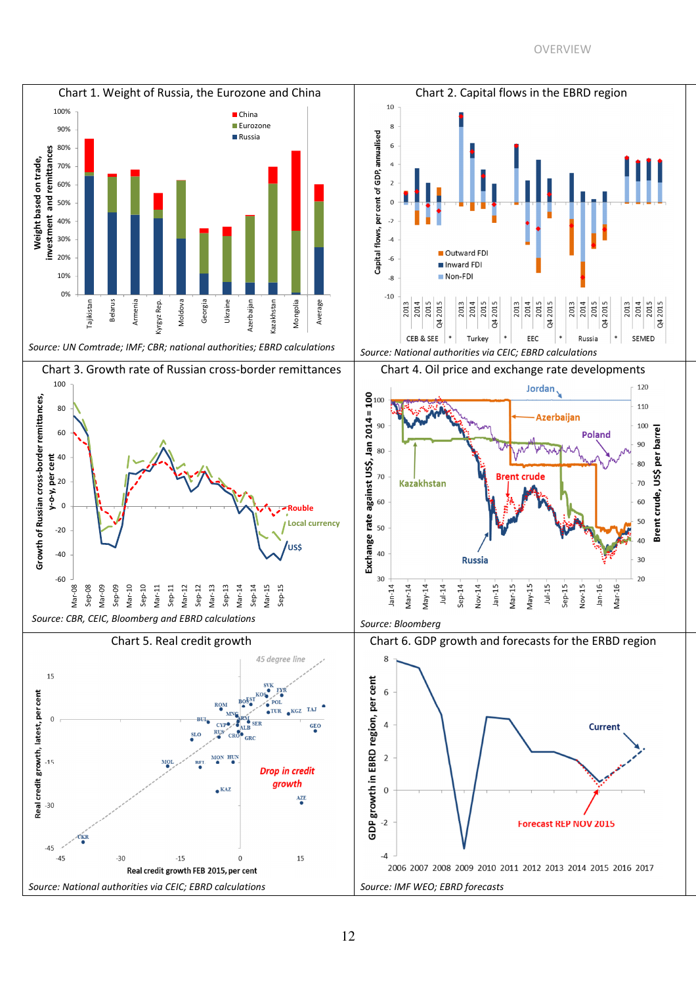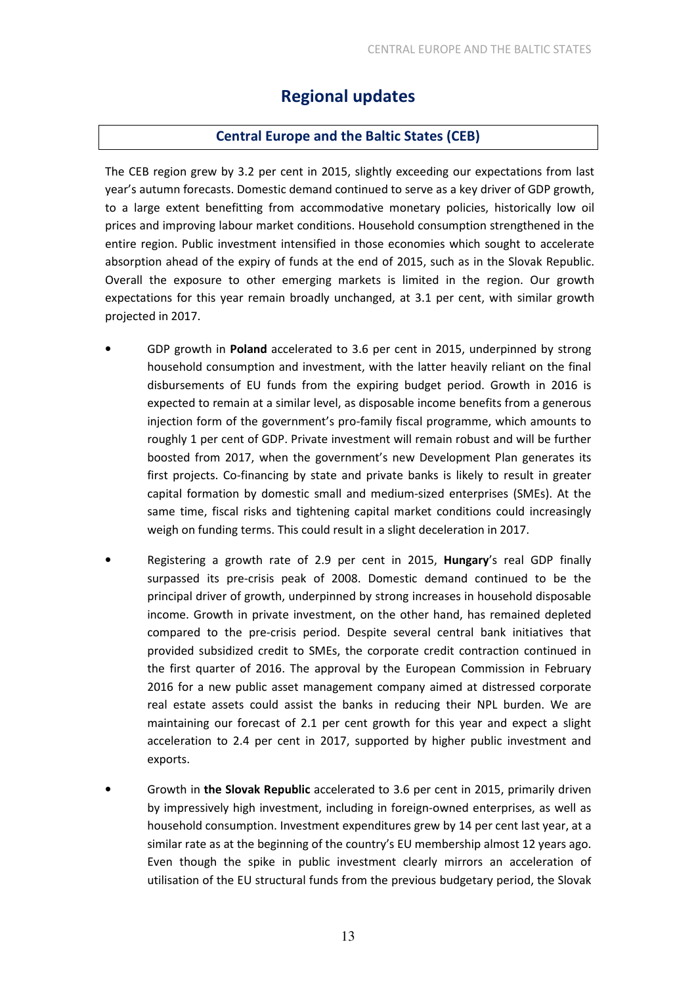### Regional updates

### Central Europe and the Baltic States (CEB)

The CEB region grew by 3.2 per cent in 2015, slightly exceeding our expectations from last year's autumn forecasts. Domestic demand continued to serve as a key driver of GDP growth, to a large extent benefitting from accommodative monetary policies, historically low oil prices and improving labour market conditions. Household consumption strengthened in the entire region. Public investment intensified in those economies which sought to accelerate absorption ahead of the expiry of funds at the end of 2015, such as in the Slovak Republic. Overall the exposure to other emerging markets is limited in the region. Our growth expectations for this year remain broadly unchanged, at 3.1 per cent, with similar growth projected in 2017.

- GDP growth in Poland accelerated to 3.6 per cent in 2015, underpinned by strong household consumption and investment, with the latter heavily reliant on the final disbursements of EU funds from the expiring budget period. Growth in 2016 is expected to remain at a similar level, as disposable income benefits from a generous injection form of the government's pro-family fiscal programme, which amounts to roughly 1 per cent of GDP. Private investment will remain robust and will be further boosted from 2017, when the government's new Development Plan generates its first projects. Co-financing by state and private banks is likely to result in greater capital formation by domestic small and medium-sized enterprises (SMEs). At the same time, fiscal risks and tightening capital market conditions could increasingly weigh on funding terms. This could result in a slight deceleration in 2017.
- Registering a growth rate of 2.9 per cent in 2015, Hungary's real GDP finally surpassed its pre-crisis peak of 2008. Domestic demand continued to be the principal driver of growth, underpinned by strong increases in household disposable income. Growth in private investment, on the other hand, has remained depleted compared to the pre-crisis period. Despite several central bank initiatives that provided subsidized credit to SMEs, the corporate credit contraction continued in the first quarter of 2016. The approval by the European Commission in February 2016 for a new public asset management company aimed at distressed corporate real estate assets could assist the banks in reducing their NPL burden. We are maintaining our forecast of 2.1 per cent growth for this year and expect a slight acceleration to 2.4 per cent in 2017, supported by higher public investment and exports.
- Growth in the Slovak Republic accelerated to 3.6 per cent in 2015, primarily driven by impressively high investment, including in foreign-owned enterprises, as well as household consumption. Investment expenditures grew by 14 per cent last year, at a similar rate as at the beginning of the country's EU membership almost 12 years ago. Even though the spike in public investment clearly mirrors an acceleration of utilisation of the EU structural funds from the previous budgetary period, the Slovak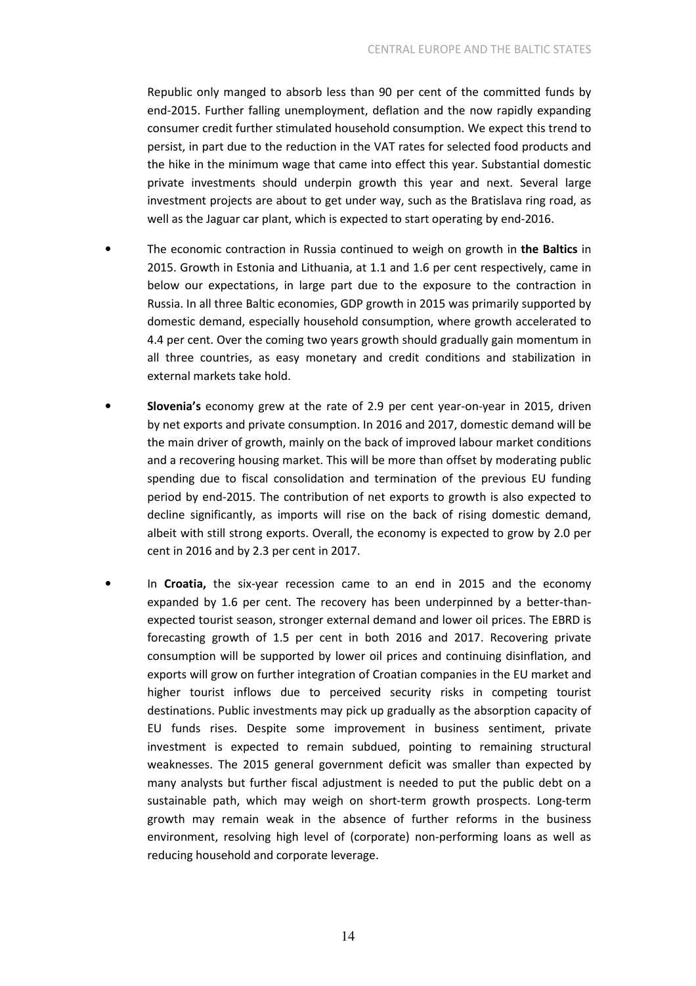Republic only manged to absorb less than 90 per cent of the committed funds by end-2015. Further falling unemployment, deflation and the now rapidly expanding consumer credit further stimulated household consumption. We expect this trend to persist, in part due to the reduction in the VAT rates for selected food products and the hike in the minimum wage that came into effect this year. Substantial domestic private investments should underpin growth this year and next. Several large investment projects are about to get under way, such as the Bratislava ring road, as well as the Jaguar car plant, which is expected to start operating by end-2016.

- The economic contraction in Russia continued to weigh on growth in the Baltics in 2015. Growth in Estonia and Lithuania, at 1.1 and 1.6 per cent respectively, came in below our expectations, in large part due to the exposure to the contraction in Russia. In all three Baltic economies, GDP growth in 2015 was primarily supported by domestic demand, especially household consumption, where growth accelerated to 4.4 per cent. Over the coming two years growth should gradually gain momentum in all three countries, as easy monetary and credit conditions and stabilization in external markets take hold.
- Slovenia's economy grew at the rate of 2.9 per cent year-on-year in 2015, driven by net exports and private consumption. In 2016 and 2017, domestic demand will be the main driver of growth, mainly on the back of improved labour market conditions and a recovering housing market. This will be more than offset by moderating public spending due to fiscal consolidation and termination of the previous EU funding period by end-2015. The contribution of net exports to growth is also expected to decline significantly, as imports will rise on the back of rising domestic demand, albeit with still strong exports. Overall, the economy is expected to grow by 2.0 per cent in 2016 and by 2.3 per cent in 2017.
- In Croatia, the six-year recession came to an end in 2015 and the economy expanded by 1.6 per cent. The recovery has been underpinned by a better-thanexpected tourist season, stronger external demand and lower oil prices. The EBRD is forecasting growth of 1.5 per cent in both 2016 and 2017. Recovering private consumption will be supported by lower oil prices and continuing disinflation, and exports will grow on further integration of Croatian companies in the EU market and higher tourist inflows due to perceived security risks in competing tourist destinations. Public investments may pick up gradually as the absorption capacity of EU funds rises. Despite some improvement in business sentiment, private investment is expected to remain subdued, pointing to remaining structural weaknesses. The 2015 general government deficit was smaller than expected by many analysts but further fiscal adjustment is needed to put the public debt on a sustainable path, which may weigh on short-term growth prospects. Long-term growth may remain weak in the absence of further reforms in the business environment, resolving high level of (corporate) non-performing loans as well as reducing household and corporate leverage.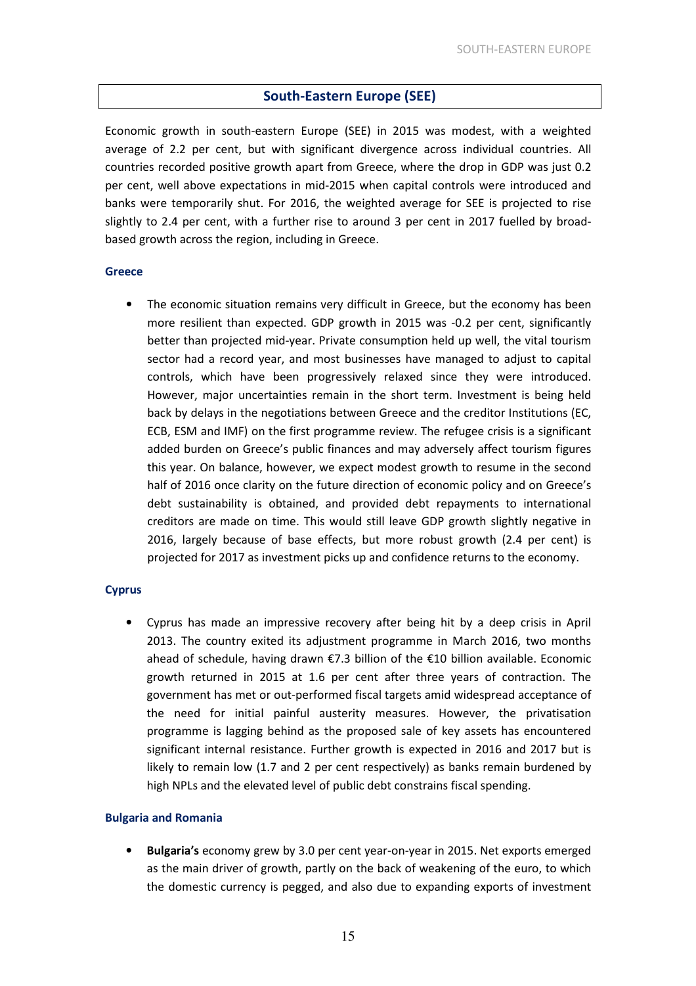### South-Eastern Europe (SEE)

Economic growth in south-eastern Europe (SEE) in 2015 was modest, with a weighted average of 2.2 per cent, but with significant divergence across individual countries. All countries recorded positive growth apart from Greece, where the drop in GDP was just 0.2 per cent, well above expectations in mid-2015 when capital controls were introduced and banks were temporarily shut. For 2016, the weighted average for SEE is projected to rise slightly to 2.4 per cent, with a further rise to around 3 per cent in 2017 fuelled by broadbased growth across the region, including in Greece.

### Greece

• The economic situation remains very difficult in Greece, but the economy has been more resilient than expected. GDP growth in 2015 was -0.2 per cent, significantly better than projected mid-year. Private consumption held up well, the vital tourism sector had a record year, and most businesses have managed to adjust to capital controls, which have been progressively relaxed since they were introduced. However, major uncertainties remain in the short term. Investment is being held back by delays in the negotiations between Greece and the creditor Institutions (EC, ECB, ESM and IMF) on the first programme review. The refugee crisis is a significant added burden on Greece's public finances and may adversely affect tourism figures this year. On balance, however, we expect modest growth to resume in the second half of 2016 once clarity on the future direction of economic policy and on Greece's debt sustainability is obtained, and provided debt repayments to international creditors are made on time. This would still leave GDP growth slightly negative in 2016, largely because of base effects, but more robust growth (2.4 per cent) is projected for 2017 as investment picks up and confidence returns to the economy.

### **Cyprus**

• Cyprus has made an impressive recovery after being hit by a deep crisis in April 2013. The country exited its adjustment programme in March 2016, two months ahead of schedule, having drawn €7.3 billion of the €10 billion available. Economic growth returned in 2015 at 1.6 per cent after three years of contraction. The government has met or out-performed fiscal targets amid widespread acceptance of the need for initial painful austerity measures. However, the privatisation programme is lagging behind as the proposed sale of key assets has encountered significant internal resistance. Further growth is expected in 2016 and 2017 but is likely to remain low (1.7 and 2 per cent respectively) as banks remain burdened by high NPLs and the elevated level of public debt constrains fiscal spending.

### Bulgaria and Romania

• Bulgaria's economy grew by 3.0 per cent year-on-year in 2015. Net exports emerged as the main driver of growth, partly on the back of weakening of the euro, to which the domestic currency is pegged, and also due to expanding exports of investment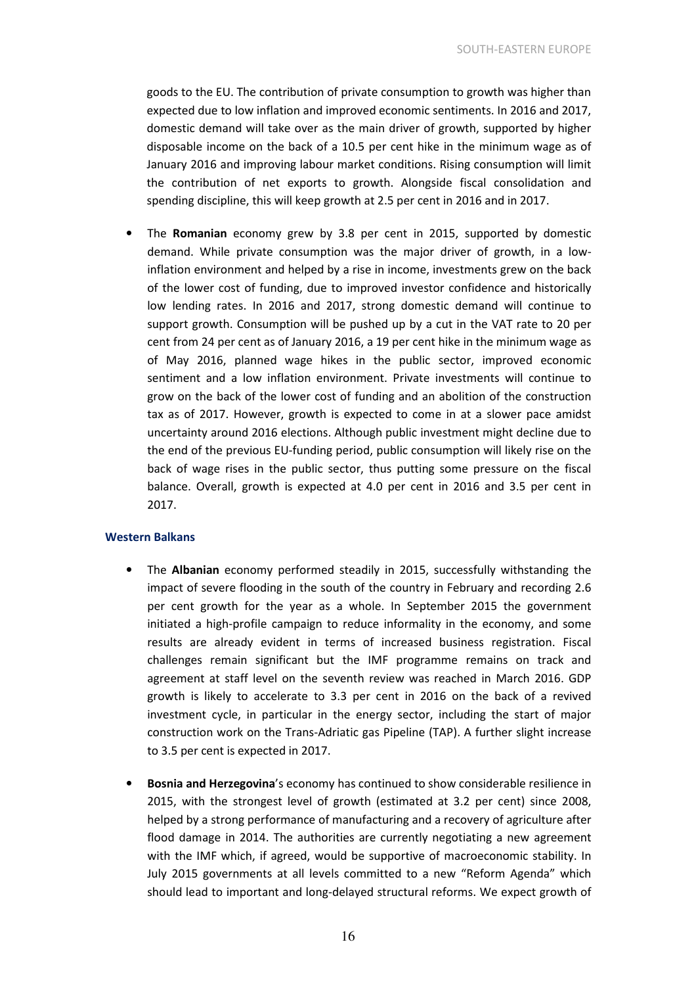goods to the EU. The contribution of private consumption to growth was higher than expected due to low inflation and improved economic sentiments. In 2016 and 2017, domestic demand will take over as the main driver of growth, supported by higher disposable income on the back of a 10.5 per cent hike in the minimum wage as of January 2016 and improving labour market conditions. Rising consumption will limit the contribution of net exports to growth. Alongside fiscal consolidation and spending discipline, this will keep growth at 2.5 per cent in 2016 and in 2017.

The **Romanian** economy grew by 3.8 per cent in 2015, supported by domestic demand. While private consumption was the major driver of growth, in a lowinflation environment and helped by a rise in income, investments grew on the back of the lower cost of funding, due to improved investor confidence and historically low lending rates. In 2016 and 2017, strong domestic demand will continue to support growth. Consumption will be pushed up by a cut in the VAT rate to 20 per cent from 24 per cent as of January 2016, a 19 per cent hike in the minimum wage as of May 2016, planned wage hikes in the public sector, improved economic sentiment and a low inflation environment. Private investments will continue to grow on the back of the lower cost of funding and an abolition of the construction tax as of 2017. However, growth is expected to come in at a slower pace amidst uncertainty around 2016 elections. Although public investment might decline due to the end of the previous EU-funding period, public consumption will likely rise on the back of wage rises in the public sector, thus putting some pressure on the fiscal balance. Overall, growth is expected at 4.0 per cent in 2016 and 3.5 per cent in 2017.

#### Western Balkans

- The Albanian economy performed steadily in 2015, successfully withstanding the impact of severe flooding in the south of the country in February and recording 2.6 per cent growth for the year as a whole. In September 2015 the government initiated a high-profile campaign to reduce informality in the economy, and some results are already evident in terms of increased business registration. Fiscal challenges remain significant but the IMF programme remains on track and agreement at staff level on the seventh review was reached in March 2016. GDP growth is likely to accelerate to 3.3 per cent in 2016 on the back of a revived investment cycle, in particular in the energy sector, including the start of major construction work on the Trans-Adriatic gas Pipeline (TAP). A further slight increase to 3.5 per cent is expected in 2017.
- Bosnia and Herzegovina's economy has continued to show considerable resilience in 2015, with the strongest level of growth (estimated at 3.2 per cent) since 2008, helped by a strong performance of manufacturing and a recovery of agriculture after flood damage in 2014. The authorities are currently negotiating a new agreement with the IMF which, if agreed, would be supportive of macroeconomic stability. In July 2015 governments at all levels committed to a new "Reform Agenda" which should lead to important and long-delayed structural reforms. We expect growth of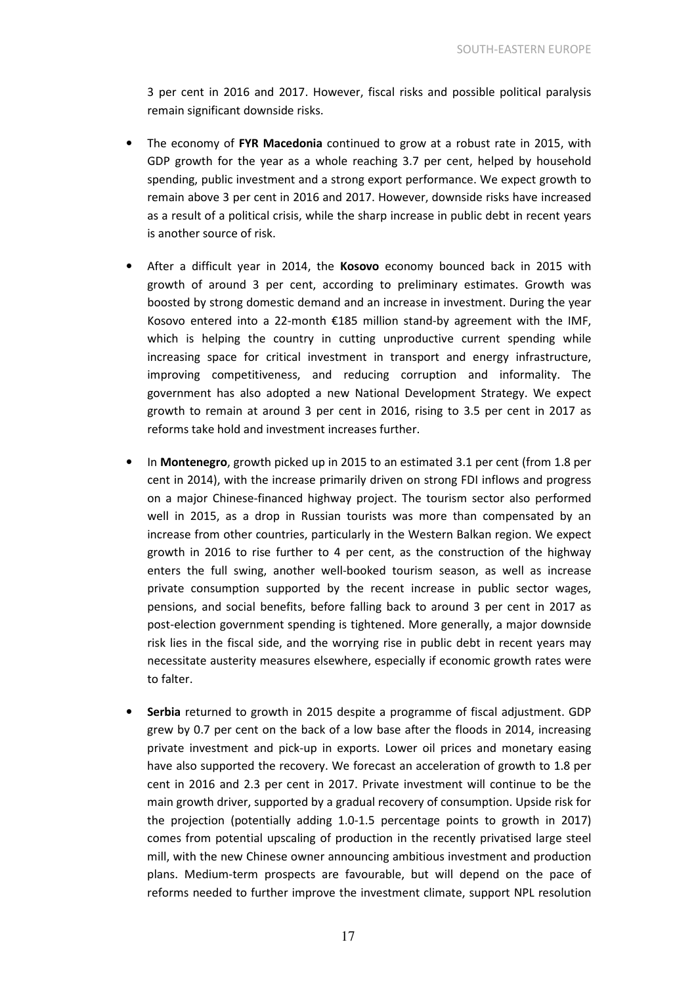3 per cent in 2016 and 2017. However, fiscal risks and possible political paralysis remain significant downside risks.

- The economy of FYR Macedonia continued to grow at a robust rate in 2015, with GDP growth for the year as a whole reaching 3.7 per cent, helped by household spending, public investment and a strong export performance. We expect growth to remain above 3 per cent in 2016 and 2017. However, downside risks have increased as a result of a political crisis, while the sharp increase in public debt in recent years is another source of risk.
- After a difficult year in 2014, the Kosovo economy bounced back in 2015 with growth of around 3 per cent, according to preliminary estimates. Growth was boosted by strong domestic demand and an increase in investment. During the year Kosovo entered into a 22-month €185 million stand-by agreement with the IMF, which is helping the country in cutting unproductive current spending while increasing space for critical investment in transport and energy infrastructure, improving competitiveness, and reducing corruption and informality. The government has also adopted a new National Development Strategy. We expect growth to remain at around 3 per cent in 2016, rising to 3.5 per cent in 2017 as reforms take hold and investment increases further.
- In Montenegro, growth picked up in 2015 to an estimated 3.1 per cent (from 1.8 per cent in 2014), with the increase primarily driven on strong FDI inflows and progress on a major Chinese-financed highway project. The tourism sector also performed well in 2015, as a drop in Russian tourists was more than compensated by an increase from other countries, particularly in the Western Balkan region. We expect growth in 2016 to rise further to 4 per cent, as the construction of the highway enters the full swing, another well-booked tourism season, as well as increase private consumption supported by the recent increase in public sector wages, pensions, and social benefits, before falling back to around 3 per cent in 2017 as post-election government spending is tightened. More generally, a major downside risk lies in the fiscal side, and the worrying rise in public debt in recent years may necessitate austerity measures elsewhere, especially if economic growth rates were to falter.
- Serbia returned to growth in 2015 despite a programme of fiscal adjustment. GDP grew by 0.7 per cent on the back of a low base after the floods in 2014, increasing private investment and pick-up in exports. Lower oil prices and monetary easing have also supported the recovery. We forecast an acceleration of growth to 1.8 per cent in 2016 and 2.3 per cent in 2017. Private investment will continue to be the main growth driver, supported by a gradual recovery of consumption. Upside risk for the projection (potentially adding 1.0-1.5 percentage points to growth in 2017) comes from potential upscaling of production in the recently privatised large steel mill, with the new Chinese owner announcing ambitious investment and production plans. Medium-term prospects are favourable, but will depend on the pace of reforms needed to further improve the investment climate, support NPL resolution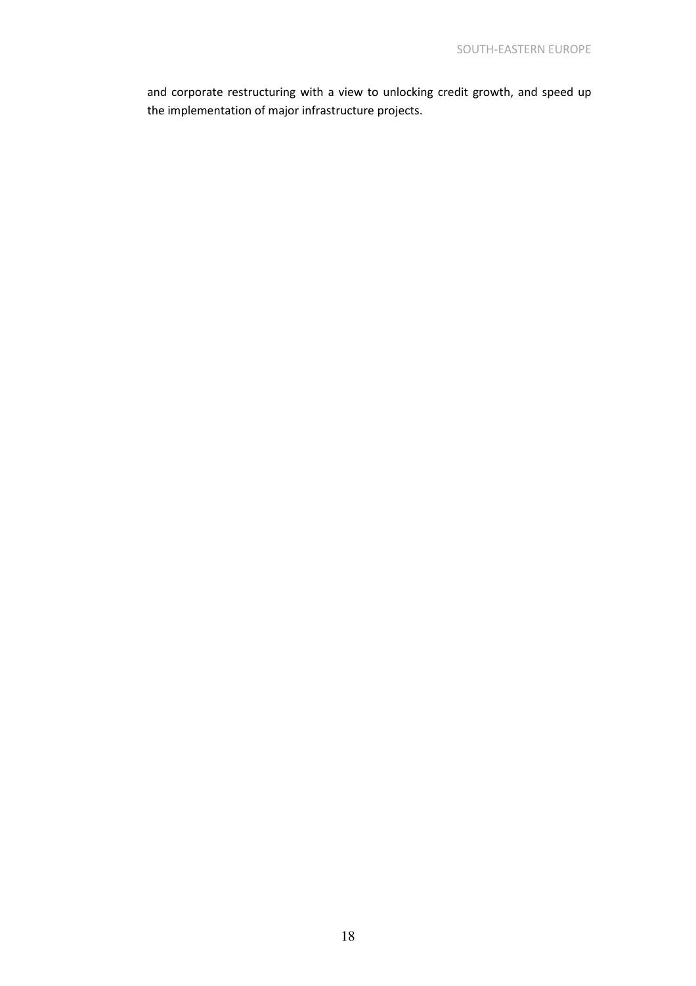and corporate restructuring with a view to unlocking credit growth, and speed up the implementation of major infrastructure projects.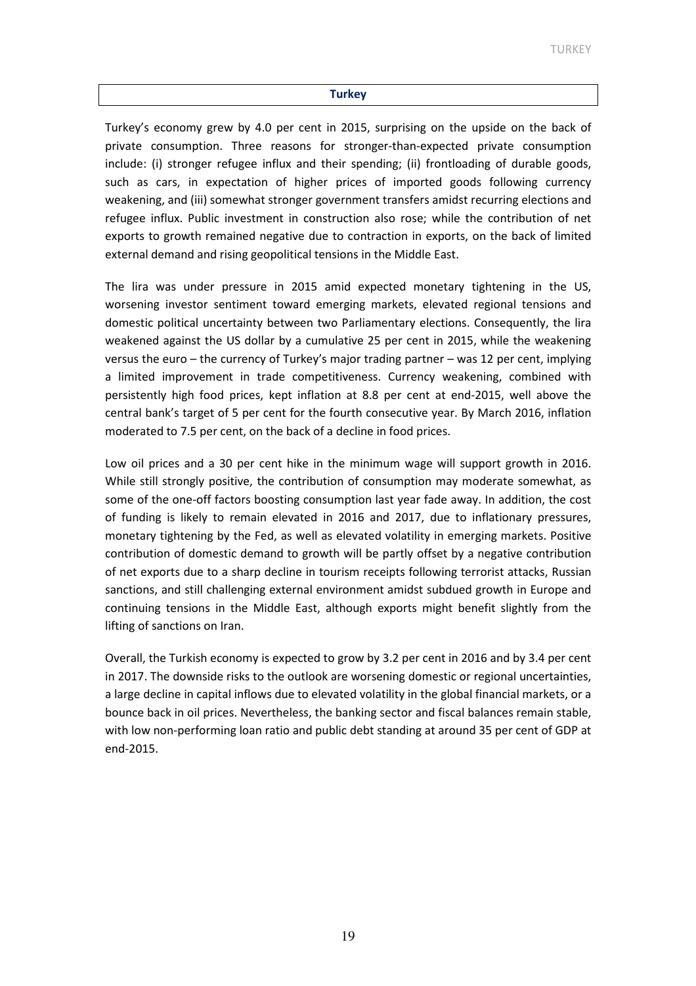#### **Turkey**

Turkey's economy grew by 4.0 per cent in 2015, surprising on the upside on the back of private consumption. Three reasons for stronger-than-expected private consumption include: (i) stronger refugee influx and their spending; (ii) frontloading of durable goods, such as cars, in expectation of higher prices of imported goods following currency weakening, and (iii) somewhat stronger government transfers amidst recurring elections and refugee influx. Public investment in construction also rose; while the contribution of net exports to growth remained negative due to contraction in exports, on the back of limited external demand and rising geopolitical tensions in the Middle East.

The lira was under pressure in 2015 amid expected monetary tightening in the US, worsening investor sentiment toward emerging markets, elevated regional tensions and domestic political uncertainty between two Parliamentary elections. Consequently, the lira weakened against the US dollar by a cumulative 25 per cent in 2015, while the weakening versus the euro – the currency of Turkey's major trading partner – was 12 per cent, implying a limited improvement in trade competitiveness. Currency weakening, combined with persistently high food prices, kept inflation at 8.8 per cent at end-2015, well above the central bank's target of 5 per cent for the fourth consecutive year. By March 2016, inflation moderated to 7.5 per cent, on the back of a decline in food prices.

Low oil prices and a 30 per cent hike in the minimum wage will support growth in 2016. While still strongly positive, the contribution of consumption may moderate somewhat, as some of the one-off factors boosting consumption last year fade away. In addition, the cost of funding is likely to remain elevated in 2016 and 2017, due to inflationary pressures, monetary tightening by the Fed, as well as elevated volatility in emerging markets. Positive contribution of domestic demand to growth will be partly offset by a negative contribution of net exports due to a sharp decline in tourism receipts following terrorist attacks, Russian sanctions, and still challenging external environment amidst subdued growth in Europe and continuing tensions in the Middle East, although exports might benefit slightly from the lifting of sanctions on Iran.

Overall, the Turkish economy is expected to grow by 3.2 per cent in 2016 and by 3.4 per cent in 2017. The downside risks to the outlook are worsening domestic or regional uncertainties, a large decline in capital inflows due to elevated volatility in the global financial markets, or a bounce back in oil prices. Nevertheless, the banking sector and fiscal balances remain stable, with low non-performing loan ratio and public debt standing at around 35 per cent of GDP at end-2015.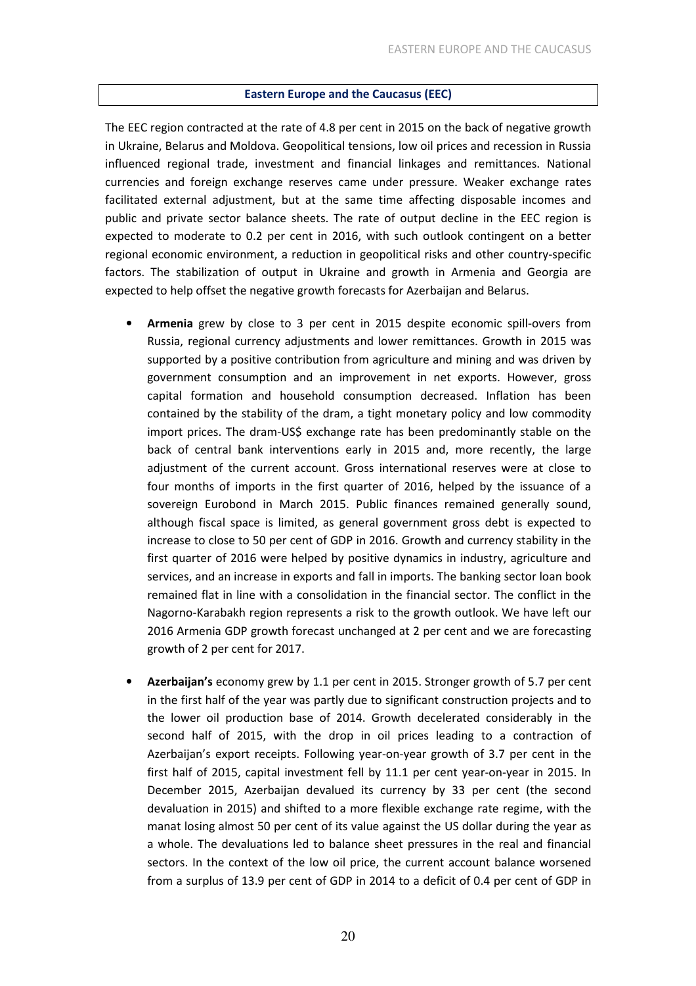### Eastern Europe and the Caucasus (EEC)

The EEC region contracted at the rate of 4.8 per cent in 2015 on the back of negative growth in Ukraine, Belarus and Moldova. Geopolitical tensions, low oil prices and recession in Russia influenced regional trade, investment and financial linkages and remittances. National currencies and foreign exchange reserves came under pressure. Weaker exchange rates facilitated external adjustment, but at the same time affecting disposable incomes and public and private sector balance sheets. The rate of output decline in the EEC region is expected to moderate to 0.2 per cent in 2016, with such outlook contingent on a better regional economic environment, a reduction in geopolitical risks and other country-specific factors. The stabilization of output in Ukraine and growth in Armenia and Georgia are expected to help offset the negative growth forecasts for Azerbaijan and Belarus.

- Armenia grew by close to 3 per cent in 2015 despite economic spill-overs from Russia, regional currency adjustments and lower remittances. Growth in 2015 was supported by a positive contribution from agriculture and mining and was driven by government consumption and an improvement in net exports. However, gross capital formation and household consumption decreased. Inflation has been contained by the stability of the dram, a tight monetary policy and low commodity import prices. The dram-US\$ exchange rate has been predominantly stable on the back of central bank interventions early in 2015 and, more recently, the large adjustment of the current account. Gross international reserves were at close to four months of imports in the first quarter of 2016, helped by the issuance of a sovereign Eurobond in March 2015. Public finances remained generally sound, although fiscal space is limited, as general government gross debt is expected to increase to close to 50 per cent of GDP in 2016. Growth and currency stability in the first quarter of 2016 were helped by positive dynamics in industry, agriculture and services, and an increase in exports and fall in imports. The banking sector loan book remained flat in line with a consolidation in the financial sector. The conflict in the Nagorno-Karabakh region represents a risk to the growth outlook. We have left our 2016 Armenia GDP growth forecast unchanged at 2 per cent and we are forecasting growth of 2 per cent for 2017.
- Azerbaijan's economy grew by 1.1 per cent in 2015. Stronger growth of 5.7 per cent in the first half of the year was partly due to significant construction projects and to the lower oil production base of 2014. Growth decelerated considerably in the second half of 2015, with the drop in oil prices leading to a contraction of Azerbaijan's export receipts. Following year-on-year growth of 3.7 per cent in the first half of 2015, capital investment fell by 11.1 per cent year-on-year in 2015. In December 2015, Azerbaijan devalued its currency by 33 per cent (the second devaluation in 2015) and shifted to a more flexible exchange rate regime, with the manat losing almost 50 per cent of its value against the US dollar during the year as a whole. The devaluations led to balance sheet pressures in the real and financial sectors. In the context of the low oil price, the current account balance worsened from a surplus of 13.9 per cent of GDP in 2014 to a deficit of 0.4 per cent of GDP in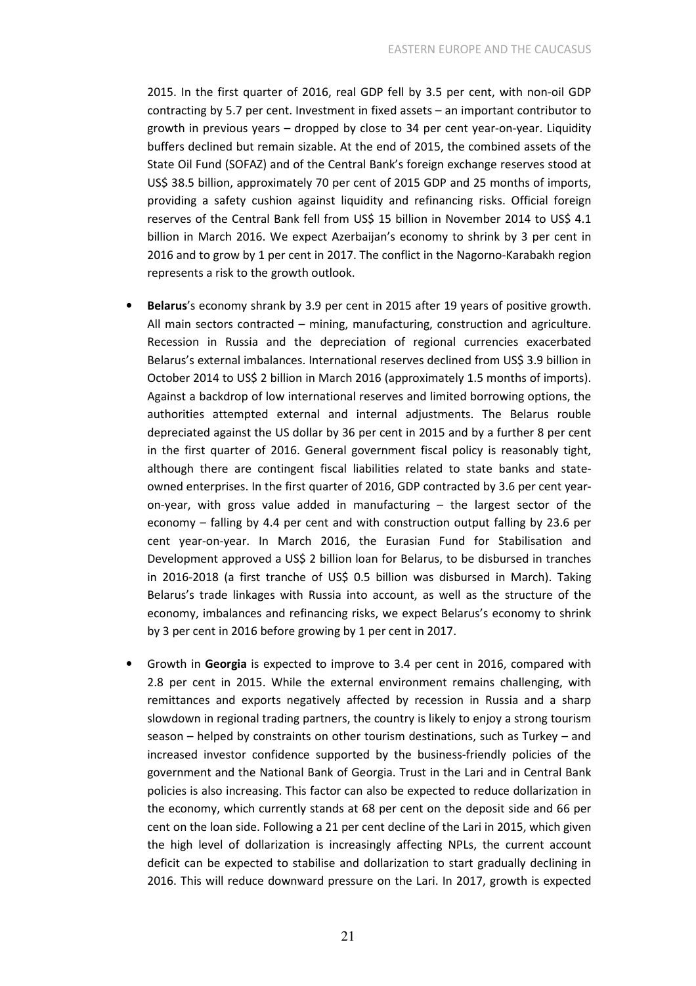2015. In the first quarter of 2016, real GDP fell by 3.5 per cent, with non-oil GDP contracting by 5.7 per cent. Investment in fixed assets – an important contributor to growth in previous years – dropped by close to 34 per cent year-on-year. Liquidity buffers declined but remain sizable. At the end of 2015, the combined assets of the State Oil Fund (SOFAZ) and of the Central Bank's foreign exchange reserves stood at US\$ 38.5 billion, approximately 70 per cent of 2015 GDP and 25 months of imports, providing a safety cushion against liquidity and refinancing risks. Official foreign reserves of the Central Bank fell from US\$ 15 billion in November 2014 to US\$ 4.1 billion in March 2016. We expect Azerbaijan's economy to shrink by 3 per cent in 2016 and to grow by 1 per cent in 2017. The conflict in the Nagorno-Karabakh region represents a risk to the growth outlook.

- Belarus's economy shrank by 3.9 per cent in 2015 after 19 years of positive growth. All main sectors contracted – mining, manufacturing, construction and agriculture. Recession in Russia and the depreciation of regional currencies exacerbated Belarus's external imbalances. International reserves declined from US\$ 3.9 billion in October 2014 to US\$ 2 billion in March 2016 (approximately 1.5 months of imports). Against a backdrop of low international reserves and limited borrowing options, the authorities attempted external and internal adjustments. The Belarus rouble depreciated against the US dollar by 36 per cent in 2015 and by a further 8 per cent in the first quarter of 2016. General government fiscal policy is reasonably tight, although there are contingent fiscal liabilities related to state banks and stateowned enterprises. In the first quarter of 2016, GDP contracted by 3.6 per cent yearon-year, with gross value added in manufacturing – the largest sector of the economy – falling by 4.4 per cent and with construction output falling by 23.6 per cent year-on-year. In March 2016, the Eurasian Fund for Stabilisation and Development approved a US\$ 2 billion loan for Belarus, to be disbursed in tranches in 2016-2018 (a first tranche of US\$ 0.5 billion was disbursed in March). Taking Belarus's trade linkages with Russia into account, as well as the structure of the economy, imbalances and refinancing risks, we expect Belarus's economy to shrink by 3 per cent in 2016 before growing by 1 per cent in 2017.
- Growth in Georgia is expected to improve to 3.4 per cent in 2016, compared with 2.8 per cent in 2015. While the external environment remains challenging, with remittances and exports negatively affected by recession in Russia and a sharp slowdown in regional trading partners, the country is likely to enjoy a strong tourism season – helped by constraints on other tourism destinations, such as Turkey – and increased investor confidence supported by the business-friendly policies of the government and the National Bank of Georgia. Trust in the Lari and in Central Bank policies is also increasing. This factor can also be expected to reduce dollarization in the economy, which currently stands at 68 per cent on the deposit side and 66 per cent on the loan side. Following a 21 per cent decline of the Lari in 2015, which given the high level of dollarization is increasingly affecting NPLs, the current account deficit can be expected to stabilise and dollarization to start gradually declining in 2016. This will reduce downward pressure on the Lari. In 2017, growth is expected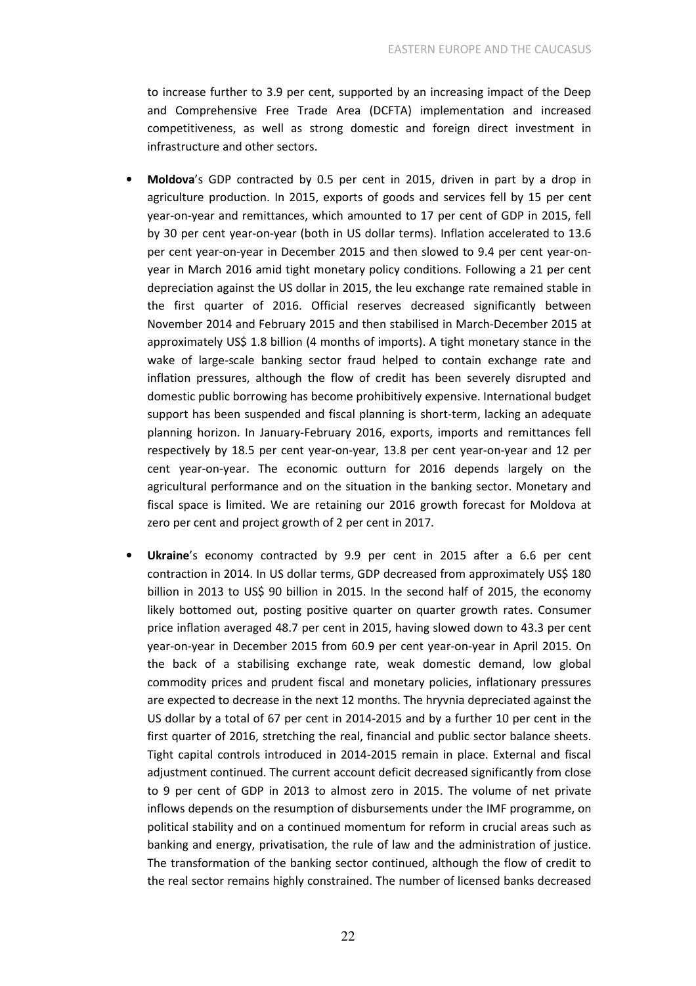to increase further to 3.9 per cent, supported by an increasing impact of the Deep and Comprehensive Free Trade Area (DCFTA) implementation and increased competitiveness, as well as strong domestic and foreign direct investment in infrastructure and other sectors.

- Moldova's GDP contracted by 0.5 per cent in 2015, driven in part by a drop in agriculture production. In 2015, exports of goods and services fell by 15 per cent year-on-year and remittances, which amounted to 17 per cent of GDP in 2015, fell by 30 per cent year-on-year (both in US dollar terms). Inflation accelerated to 13.6 per cent year-on-year in December 2015 and then slowed to 9.4 per cent year-onyear in March 2016 amid tight monetary policy conditions. Following a 21 per cent depreciation against the US dollar in 2015, the leu exchange rate remained stable in the first quarter of 2016. Official reserves decreased significantly between November 2014 and February 2015 and then stabilised in March-December 2015 at approximately US\$ 1.8 billion (4 months of imports). A tight monetary stance in the wake of large-scale banking sector fraud helped to contain exchange rate and inflation pressures, although the flow of credit has been severely disrupted and domestic public borrowing has become prohibitively expensive. International budget support has been suspended and fiscal planning is short-term, lacking an adequate planning horizon. In January-February 2016, exports, imports and remittances fell respectively by 18.5 per cent year-on-year, 13.8 per cent year-on-year and 12 per cent year-on-year. The economic outturn for 2016 depends largely on the agricultural performance and on the situation in the banking sector. Monetary and fiscal space is limited. We are retaining our 2016 growth forecast for Moldova at zero per cent and project growth of 2 per cent in 2017.
- Ukraine's economy contracted by 9.9 per cent in 2015 after a 6.6 per cent contraction in 2014. In US dollar terms, GDP decreased from approximately US\$ 180 billion in 2013 to US\$ 90 billion in 2015. In the second half of 2015, the economy likely bottomed out, posting positive quarter on quarter growth rates. Consumer price inflation averaged 48.7 per cent in 2015, having slowed down to 43.3 per cent year-on-year in December 2015 from 60.9 per cent year-on-year in April 2015. On the back of a stabilising exchange rate, weak domestic demand, low global commodity prices and prudent fiscal and monetary policies, inflationary pressures are expected to decrease in the next 12 months. The hryvnia depreciated against the US dollar by a total of 67 per cent in 2014-2015 and by a further 10 per cent in the first quarter of 2016, stretching the real, financial and public sector balance sheets. Tight capital controls introduced in 2014-2015 remain in place. External and fiscal adjustment continued. The current account deficit decreased significantly from close to 9 per cent of GDP in 2013 to almost zero in 2015. The volume of net private inflows depends on the resumption of disbursements under the IMF programme, on political stability and on a continued momentum for reform in crucial areas such as banking and energy, privatisation, the rule of law and the administration of justice. The transformation of the banking sector continued, although the flow of credit to the real sector remains highly constrained. The number of licensed banks decreased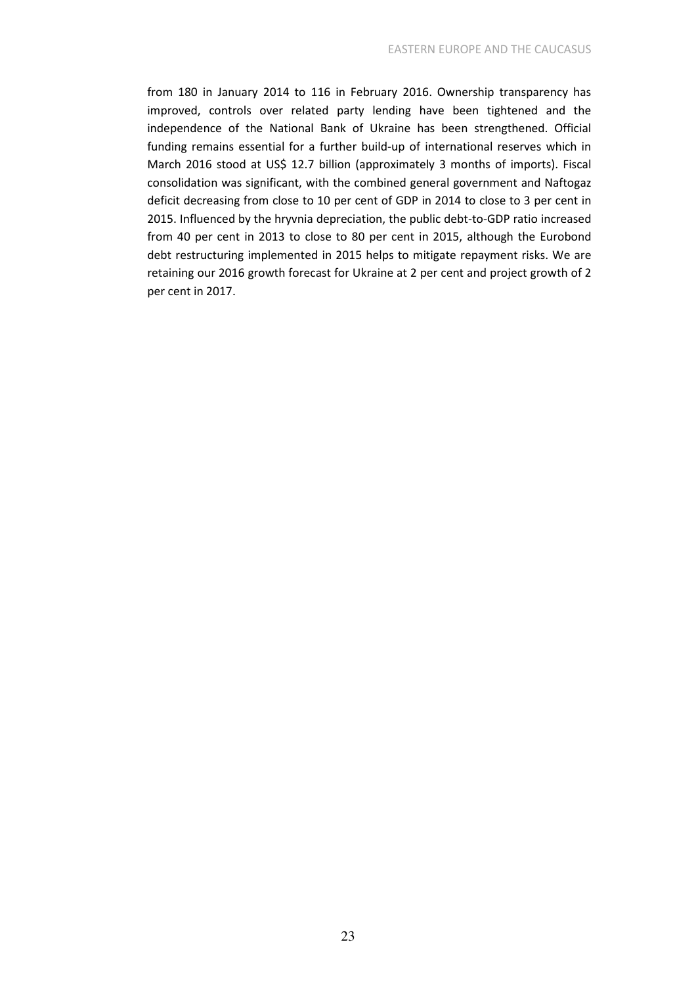from 180 in January 2014 to 116 in February 2016. Ownership transparency has improved, controls over related party lending have been tightened and the independence of the National Bank of Ukraine has been strengthened. Official funding remains essential for a further build-up of international reserves which in March 2016 stood at US\$ 12.7 billion (approximately 3 months of imports). Fiscal consolidation was significant, with the combined general government and Naftogaz deficit decreasing from close to 10 per cent of GDP in 2014 to close to 3 per cent in 2015. Influenced by the hryvnia depreciation, the public debt-to-GDP ratio increased from 40 per cent in 2013 to close to 80 per cent in 2015, although the Eurobond debt restructuring implemented in 2015 helps to mitigate repayment risks. We are retaining our 2016 growth forecast for Ukraine at 2 per cent and project growth of 2 per cent in 2017.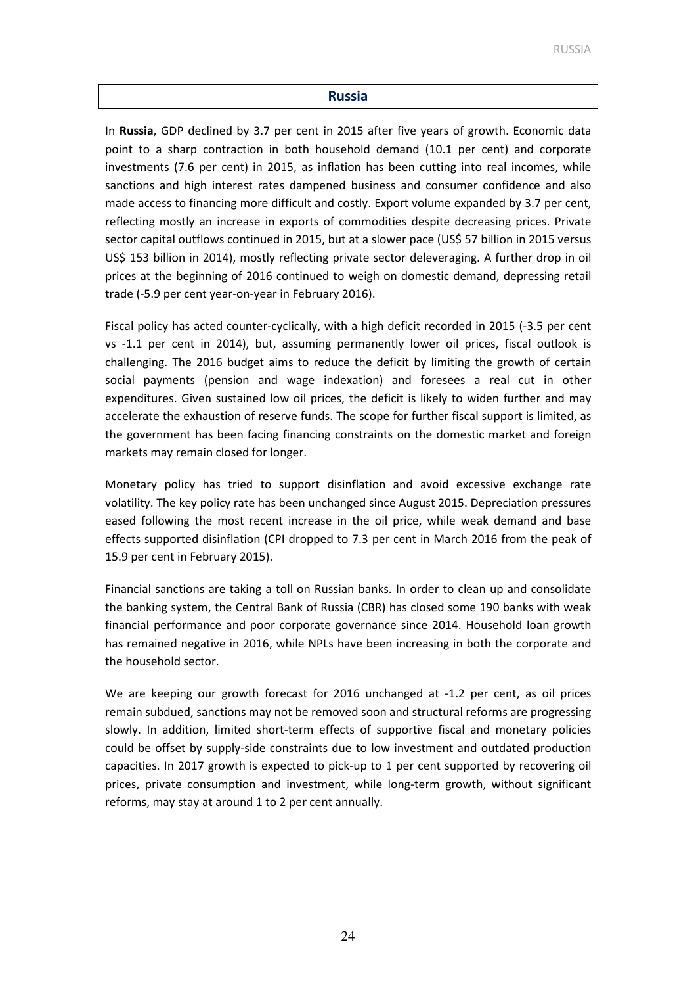### Russia

In Russia, GDP declined by 3.7 per cent in 2015 after five years of growth. Economic data point to a sharp contraction in both household demand (10.1 per cent) and corporate investments (7.6 per cent) in 2015, as inflation has been cutting into real incomes, while sanctions and high interest rates dampened business and consumer confidence and also made access to financing more difficult and costly. Export volume expanded by 3.7 per cent, reflecting mostly an increase in exports of commodities despite decreasing prices. Private sector capital outflows continued in 2015, but at a slower pace (US\$ 57 billion in 2015 versus US\$ 153 billion in 2014), mostly reflecting private sector deleveraging. A further drop in oil prices at the beginning of 2016 continued to weigh on domestic demand, depressing retail trade (-5.9 per cent year-on-year in February 2016).

Fiscal policy has acted counter-cyclically, with a high deficit recorded in 2015 (-3.5 per cent vs -1.1 per cent in 2014), but, assuming permanently lower oil prices, fiscal outlook is challenging. The 2016 budget aims to reduce the deficit by limiting the growth of certain social payments (pension and wage indexation) and foresees a real cut in other expenditures. Given sustained low oil prices, the deficit is likely to widen further and may accelerate the exhaustion of reserve funds. The scope for further fiscal support is limited, as the government has been facing financing constraints on the domestic market and foreign markets may remain closed for longer.

Monetary policy has tried to support disinflation and avoid excessive exchange rate volatility. The key policy rate has been unchanged since August 2015. Depreciation pressures eased following the most recent increase in the oil price, while weak demand and base effects supported disinflation (CPI dropped to 7.3 per cent in March 2016 from the peak of 15.9 per cent in February 2015).

Financial sanctions are taking a toll on Russian banks. In order to clean up and consolidate the banking system, the Central Bank of Russia (CBR) has closed some 190 banks with weak financial performance and poor corporate governance since 2014. Household loan growth has remained negative in 2016, while NPLs have been increasing in both the corporate and the household sector.

We are keeping our growth forecast for 2016 unchanged at -1.2 per cent, as oil prices remain subdued, sanctions may not be removed soon and structural reforms are progressing slowly. In addition, limited short-term effects of supportive fiscal and monetary policies could be offset by supply-side constraints due to low investment and outdated production capacities. In 2017 growth is expected to pick-up to 1 per cent supported by recovering oil prices, private consumption and investment, while long-term growth, without significant reforms, may stay at around 1 to 2 per cent annually.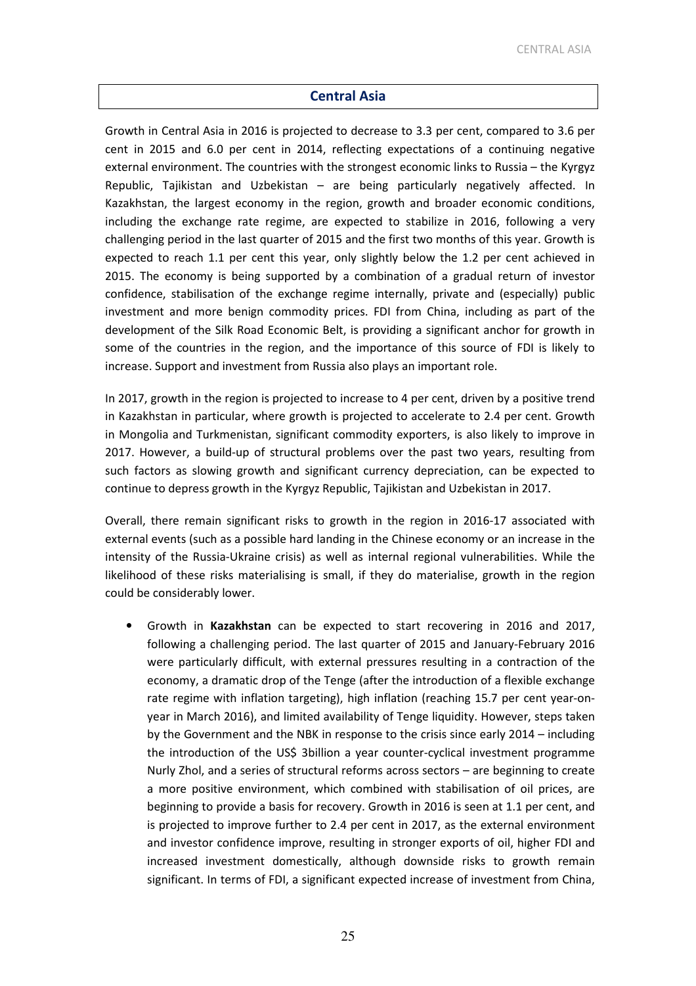### Central Asia

Growth in Central Asia in 2016 is projected to decrease to 3.3 per cent, compared to 3.6 per cent in 2015 and 6.0 per cent in 2014, reflecting expectations of a continuing negative external environment. The countries with the strongest economic links to Russia – the Kyrgyz Republic, Tajikistan and Uzbekistan – are being particularly negatively affected. In Kazakhstan, the largest economy in the region, growth and broader economic conditions, including the exchange rate regime, are expected to stabilize in 2016, following a very challenging period in the last quarter of 2015 and the first two months of this year. Growth is expected to reach 1.1 per cent this year, only slightly below the 1.2 per cent achieved in 2015. The economy is being supported by a combination of a gradual return of investor confidence, stabilisation of the exchange regime internally, private and (especially) public investment and more benign commodity prices. FDI from China, including as part of the development of the Silk Road Economic Belt, is providing a significant anchor for growth in some of the countries in the region, and the importance of this source of FDI is likely to increase. Support and investment from Russia also plays an important role.

In 2017, growth in the region is projected to increase to 4 per cent, driven by a positive trend in Kazakhstan in particular, where growth is projected to accelerate to 2.4 per cent. Growth in Mongolia and Turkmenistan, significant commodity exporters, is also likely to improve in 2017. However, a build-up of structural problems over the past two years, resulting from such factors as slowing growth and significant currency depreciation, can be expected to continue to depress growth in the Kyrgyz Republic, Tajikistan and Uzbekistan in 2017.

Overall, there remain significant risks to growth in the region in 2016-17 associated with external events (such as a possible hard landing in the Chinese economy or an increase in the intensity of the Russia-Ukraine crisis) as well as internal regional vulnerabilities. While the likelihood of these risks materialising is small, if they do materialise, growth in the region could be considerably lower.

• Growth in Kazakhstan can be expected to start recovering in 2016 and 2017, following a challenging period. The last quarter of 2015 and January-February 2016 were particularly difficult, with external pressures resulting in a contraction of the economy, a dramatic drop of the Tenge (after the introduction of a flexible exchange rate regime with inflation targeting), high inflation (reaching 15.7 per cent year-onyear in March 2016), and limited availability of Tenge liquidity. However, steps taken by the Government and the NBK in response to the crisis since early 2014 – including the introduction of the US\$ 3billion a year counter-cyclical investment programme Nurly Zhol, and a series of structural reforms across sectors – are beginning to create a more positive environment, which combined with stabilisation of oil prices, are beginning to provide a basis for recovery. Growth in 2016 is seen at 1.1 per cent, and is projected to improve further to 2.4 per cent in 2017, as the external environment and investor confidence improve, resulting in stronger exports of oil, higher FDI and increased investment domestically, although downside risks to growth remain significant. In terms of FDI, a significant expected increase of investment from China,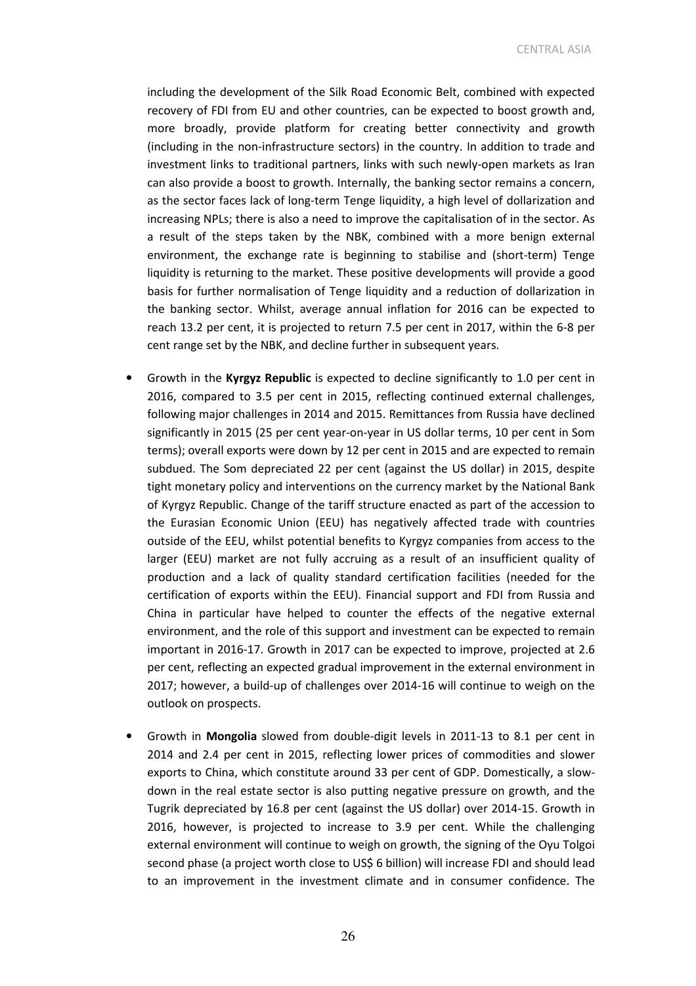CENTRAL ASIA

including the development of the Silk Road Economic Belt, combined with expected recovery of FDI from EU and other countries, can be expected to boost growth and, more broadly, provide platform for creating better connectivity and growth (including in the non-infrastructure sectors) in the country. In addition to trade and investment links to traditional partners, links with such newly-open markets as Iran can also provide a boost to growth. Internally, the banking sector remains a concern, as the sector faces lack of long-term Tenge liquidity, a high level of dollarization and increasing NPLs; there is also a need to improve the capitalisation of in the sector. As a result of the steps taken by the NBK, combined with a more benign external environment, the exchange rate is beginning to stabilise and (short-term) Tenge liquidity is returning to the market. These positive developments will provide a good basis for further normalisation of Tenge liquidity and a reduction of dollarization in the banking sector. Whilst, average annual inflation for 2016 can be expected to reach 13.2 per cent, it is projected to return 7.5 per cent in 2017, within the 6-8 per cent range set by the NBK, and decline further in subsequent years.

- Growth in the Kyrgyz Republic is expected to decline significantly to 1.0 per cent in 2016, compared to 3.5 per cent in 2015, reflecting continued external challenges, following major challenges in 2014 and 2015. Remittances from Russia have declined significantly in 2015 (25 per cent year-on-year in US dollar terms, 10 per cent in Som terms); overall exports were down by 12 per cent in 2015 and are expected to remain subdued. The Som depreciated 22 per cent (against the US dollar) in 2015, despite tight monetary policy and interventions on the currency market by the National Bank of Kyrgyz Republic. Change of the tariff structure enacted as part of the accession to the Eurasian Economic Union (EEU) has negatively affected trade with countries outside of the EEU, whilst potential benefits to Kyrgyz companies from access to the larger (EEU) market are not fully accruing as a result of an insufficient quality of production and a lack of quality standard certification facilities (needed for the certification of exports within the EEU). Financial support and FDI from Russia and China in particular have helped to counter the effects of the negative external environment, and the role of this support and investment can be expected to remain important in 2016-17. Growth in 2017 can be expected to improve, projected at 2.6 per cent, reflecting an expected gradual improvement in the external environment in 2017; however, a build-up of challenges over 2014-16 will continue to weigh on the outlook on prospects.
- Growth in Mongolia slowed from double-digit levels in 2011-13 to 8.1 per cent in 2014 and 2.4 per cent in 2015, reflecting lower prices of commodities and slower exports to China, which constitute around 33 per cent of GDP. Domestically, a slowdown in the real estate sector is also putting negative pressure on growth, and the Tugrik depreciated by 16.8 per cent (against the US dollar) over 2014-15. Growth in 2016, however, is projected to increase to 3.9 per cent. While the challenging external environment will continue to weigh on growth, the signing of the Oyu Tolgoi second phase (a project worth close to US\$ 6 billion) will increase FDI and should lead to an improvement in the investment climate and in consumer confidence. The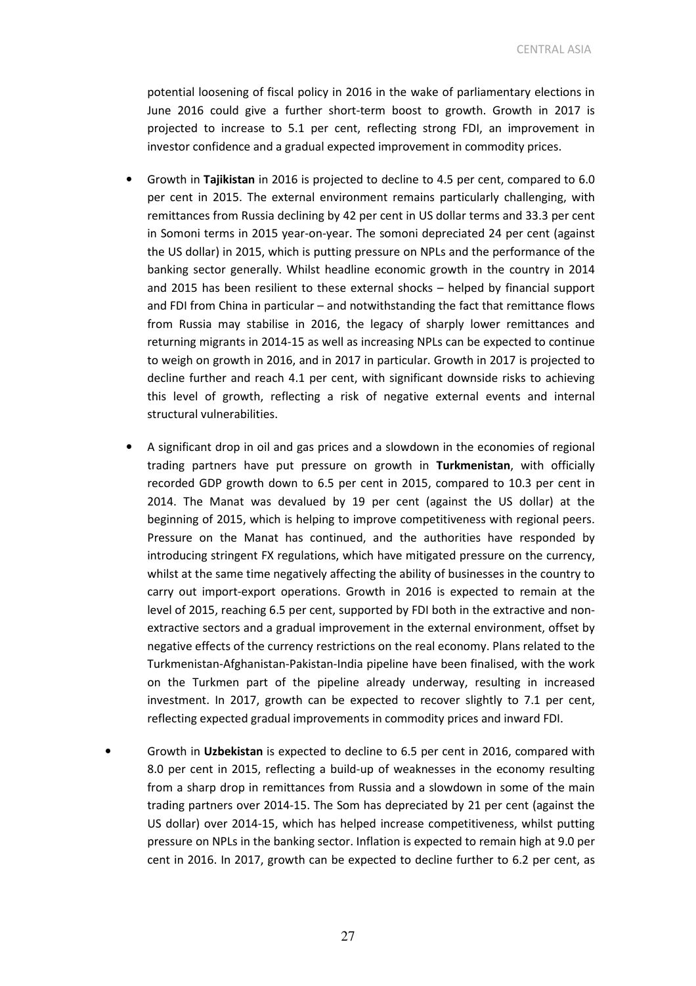CENTRAL ASIA

potential loosening of fiscal policy in 2016 in the wake of parliamentary elections in June 2016 could give a further short-term boost to growth. Growth in 2017 is projected to increase to 5.1 per cent, reflecting strong FDI, an improvement in investor confidence and a gradual expected improvement in commodity prices.

- Growth in Tajikistan in 2016 is projected to decline to 4.5 per cent, compared to 6.0 per cent in 2015. The external environment remains particularly challenging, with remittances from Russia declining by 42 per cent in US dollar terms and 33.3 per cent in Somoni terms in 2015 year-on-year. The somoni depreciated 24 per cent (against the US dollar) in 2015, which is putting pressure on NPLs and the performance of the banking sector generally. Whilst headline economic growth in the country in 2014 and 2015 has been resilient to these external shocks – helped by financial support and FDI from China in particular – and notwithstanding the fact that remittance flows from Russia may stabilise in 2016, the legacy of sharply lower remittances and returning migrants in 2014-15 as well as increasing NPLs can be expected to continue to weigh on growth in 2016, and in 2017 in particular. Growth in 2017 is projected to decline further and reach 4.1 per cent, with significant downside risks to achieving this level of growth, reflecting a risk of negative external events and internal structural vulnerabilities.
- A significant drop in oil and gas prices and a slowdown in the economies of regional trading partners have put pressure on growth in Turkmenistan, with officially recorded GDP growth down to 6.5 per cent in 2015, compared to 10.3 per cent in 2014. The Manat was devalued by 19 per cent (against the US dollar) at the beginning of 2015, which is helping to improve competitiveness with regional peers. Pressure on the Manat has continued, and the authorities have responded by introducing stringent FX regulations, which have mitigated pressure on the currency, whilst at the same time negatively affecting the ability of businesses in the country to carry out import-export operations. Growth in 2016 is expected to remain at the level of 2015, reaching 6.5 per cent, supported by FDI both in the extractive and nonextractive sectors and a gradual improvement in the external environment, offset by negative effects of the currency restrictions on the real economy. Plans related to the Turkmenistan-Afghanistan-Pakistan-India pipeline have been finalised, with the work on the Turkmen part of the pipeline already underway, resulting in increased investment. In 2017, growth can be expected to recover slightly to 7.1 per cent, reflecting expected gradual improvements in commodity prices and inward FDI.
- Growth in Uzbekistan is expected to decline to 6.5 per cent in 2016, compared with 8.0 per cent in 2015, reflecting a build-up of weaknesses in the economy resulting from a sharp drop in remittances from Russia and a slowdown in some of the main trading partners over 2014-15. The Som has depreciated by 21 per cent (against the US dollar) over 2014-15, which has helped increase competitiveness, whilst putting pressure on NPLs in the banking sector. Inflation is expected to remain high at 9.0 per cent in 2016. In 2017, growth can be expected to decline further to 6.2 per cent, as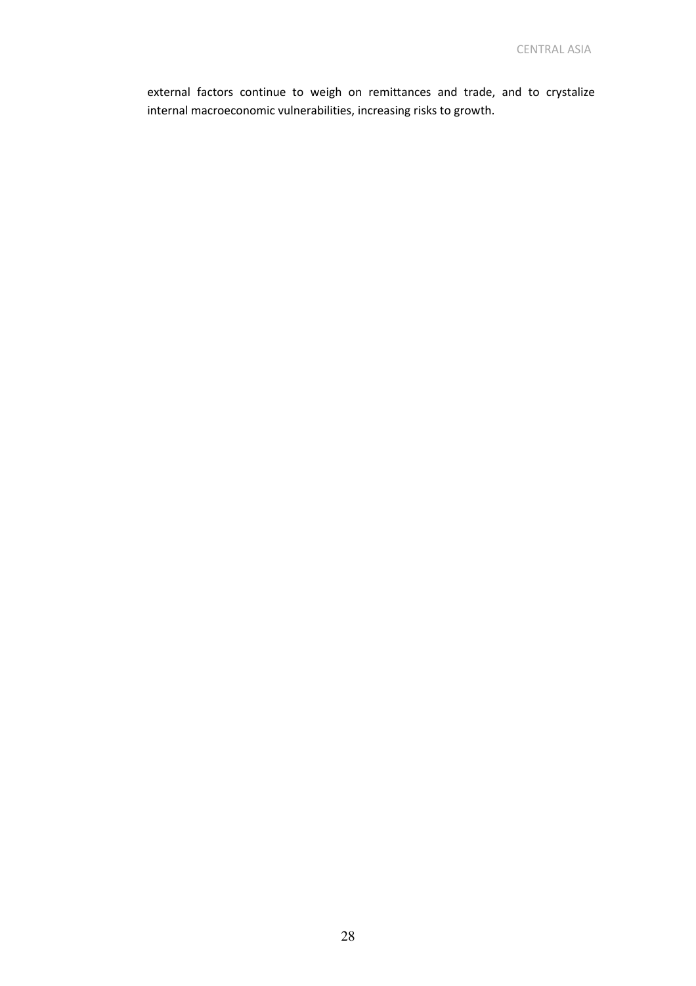external factors continue to weigh on remittances and trade, and to crystalize internal macroeconomic vulnerabilities, increasing risks to growth.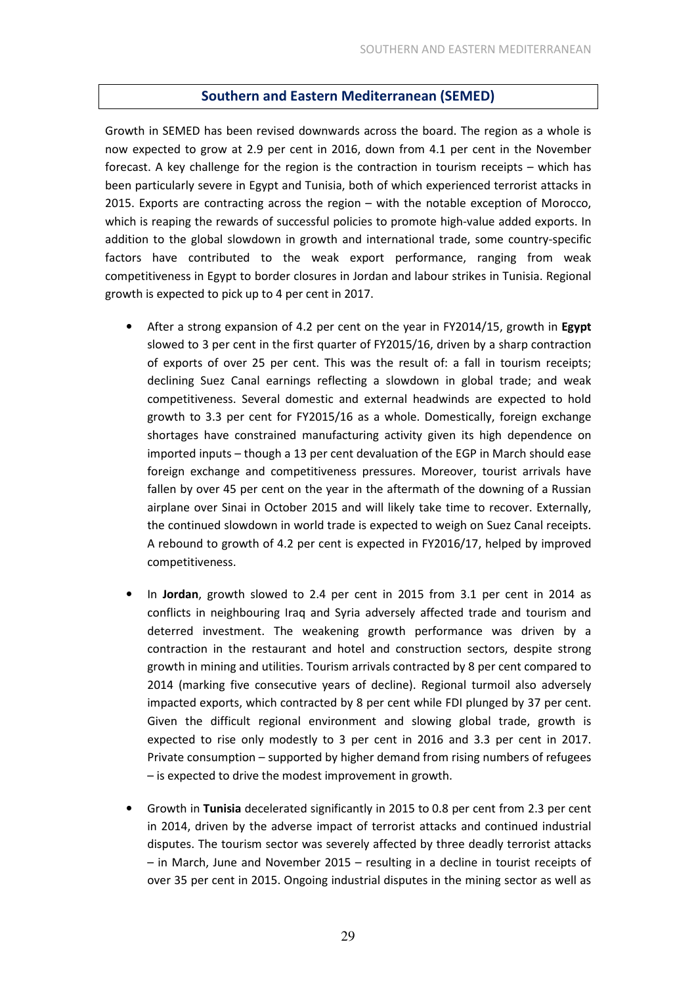### Southern and Eastern Mediterranean (SEMED)

Growth in SEMED has been revised downwards across the board. The region as a whole is now expected to grow at 2.9 per cent in 2016, down from 4.1 per cent in the November forecast. A key challenge for the region is the contraction in tourism receipts – which has been particularly severe in Egypt and Tunisia, both of which experienced terrorist attacks in 2015. Exports are contracting across the region – with the notable exception of Morocco, which is reaping the rewards of successful policies to promote high-value added exports. In addition to the global slowdown in growth and international trade, some country-specific factors have contributed to the weak export performance, ranging from weak competitiveness in Egypt to border closures in Jordan and labour strikes in Tunisia. Regional growth is expected to pick up to 4 per cent in 2017.

- After a strong expansion of 4.2 per cent on the year in FY2014/15, growth in Egypt slowed to 3 per cent in the first quarter of FY2015/16, driven by a sharp contraction of exports of over 25 per cent. This was the result of: a fall in tourism receipts; declining Suez Canal earnings reflecting a slowdown in global trade; and weak competitiveness. Several domestic and external headwinds are expected to hold growth to 3.3 per cent for FY2015/16 as a whole. Domestically, foreign exchange shortages have constrained manufacturing activity given its high dependence on imported inputs – though a 13 per cent devaluation of the EGP in March should ease foreign exchange and competitiveness pressures. Moreover, tourist arrivals have fallen by over 45 per cent on the year in the aftermath of the downing of a Russian airplane over Sinai in October 2015 and will likely take time to recover. Externally, the continued slowdown in world trade is expected to weigh on Suez Canal receipts. A rebound to growth of 4.2 per cent is expected in FY2016/17, helped by improved competitiveness.
- In Jordan, growth slowed to 2.4 per cent in 2015 from 3.1 per cent in 2014 as conflicts in neighbouring Iraq and Syria adversely affected trade and tourism and deterred investment. The weakening growth performance was driven by a contraction in the restaurant and hotel and construction sectors, despite strong growth in mining and utilities. Tourism arrivals contracted by 8 per cent compared to 2014 (marking five consecutive years of decline). Regional turmoil also adversely impacted exports, which contracted by 8 per cent while FDI plunged by 37 per cent. Given the difficult regional environment and slowing global trade, growth is expected to rise only modestly to 3 per cent in 2016 and 3.3 per cent in 2017. Private consumption – supported by higher demand from rising numbers of refugees – is expected to drive the modest improvement in growth.
- Growth in Tunisia decelerated significantly in 2015 to 0.8 per cent from 2.3 per cent in 2014, driven by the adverse impact of terrorist attacks and continued industrial disputes. The tourism sector was severely affected by three deadly terrorist attacks – in March, June and November 2015 – resulting in a decline in tourist receipts of over 35 per cent in 2015. Ongoing industrial disputes in the mining sector as well as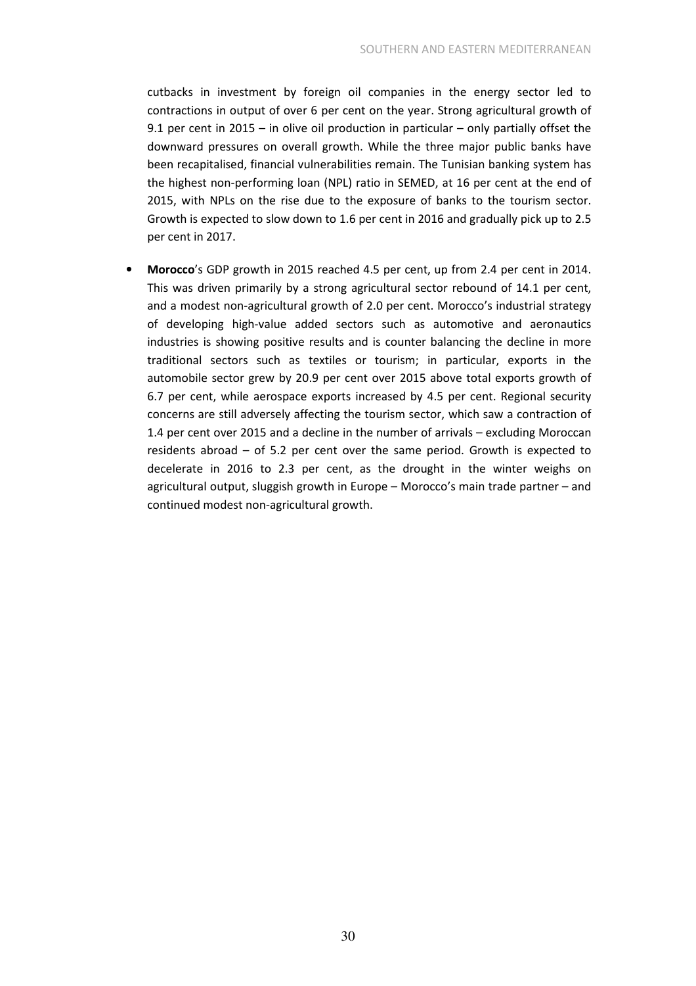cutbacks in investment by foreign oil companies in the energy sector led to contractions in output of over 6 per cent on the year. Strong agricultural growth of 9.1 per cent in 2015 – in olive oil production in particular – only partially offset the downward pressures on overall growth. While the three major public banks have been recapitalised, financial vulnerabilities remain. The Tunisian banking system has the highest non-performing loan (NPL) ratio in SEMED, at 16 per cent at the end of 2015, with NPLs on the rise due to the exposure of banks to the tourism sector. Growth is expected to slow down to 1.6 per cent in 2016 and gradually pick up to 2.5 per cent in 2017.

• Morocco's GDP growth in 2015 reached 4.5 per cent, up from 2.4 per cent in 2014. This was driven primarily by a strong agricultural sector rebound of 14.1 per cent, and a modest non-agricultural growth of 2.0 per cent. Morocco's industrial strategy of developing high-value added sectors such as automotive and aeronautics industries is showing positive results and is counter balancing the decline in more traditional sectors such as textiles or tourism; in particular, exports in the automobile sector grew by 20.9 per cent over 2015 above total exports growth of 6.7 per cent, while aerospace exports increased by 4.5 per cent. Regional security concerns are still adversely affecting the tourism sector, which saw a contraction of 1.4 per cent over 2015 and a decline in the number of arrivals – excluding Moroccan residents abroad – of 5.2 per cent over the same period. Growth is expected to decelerate in 2016 to 2.3 per cent, as the drought in the winter weighs on agricultural output, sluggish growth in Europe – Morocco's main trade partner – and continued modest non-agricultural growth.